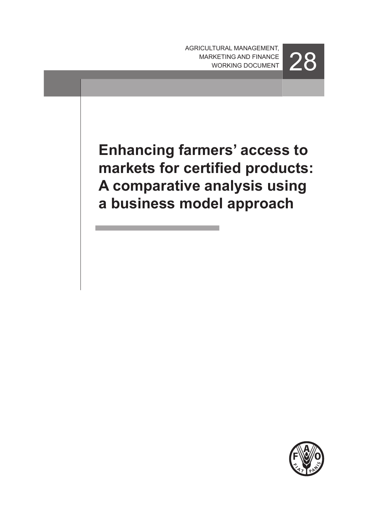AGRICULTURAL management, MARKETING AND FINANCE 28

**Enhancing farmers' access to markets for certified products: A comparative analysis using a business model approach**

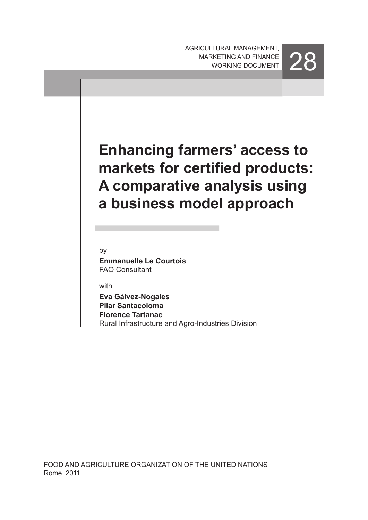AGRICULTURAL management, MARKETING AND FINANCE 28



# **Enhancing farmers' access to markets for certified products: A comparative analysis using a business model approach**

by

**Emmanuelle Le Courtois** FAO Consultant

with

**Eva Gálvez-Nogales Pilar Santacoloma Florence Tartanac** Rural Infrastructure and Agro-Industries Division

FOOD AND AGRICULTURE ORGANIZATION OF THE UNITED NATIONS Rome, 2011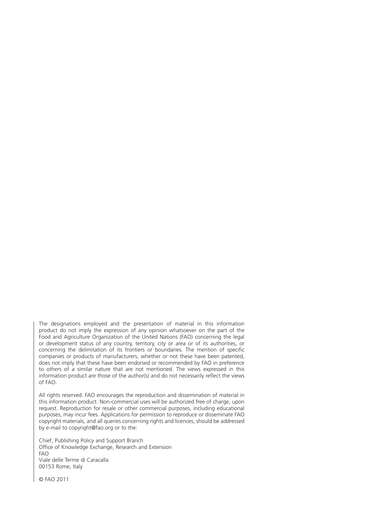The designations employed and the presentation of material in this information product do not imply the expression of any opinion whatsoever on the part of the Food and Agriculture Organization of the United Nations (FAO) concerning the legal or development status of any country, territory, city or area or of its authorities, or concerning the delimitation of its frontiers or boundaries. The mention of specific companies or products of manufacturers, whether or not these have been patented, does not imply that these have been endorsed or recommended by FAO in preference to others of a similar nature that are not mentioned. The views expressed in this information product are those of the author(s) and do not necessarily reflect the views of FAO.

All rights reserved. FAO encourages the reproduction and dissemination of material in this information product. Non-commercial uses will be authorized free of charge, upon request. Reproduction for resale or other commercial purposes, including educational purposes, may incur fees. Applications for permission to reproduce or disseminate FAO copyright materials, and all queries concerning rights and licences, should be addressed by e-mail to copyright@fao.org or to the:

Chief, Publishing Policy and Support Branch Office of Knowledge Exchange, Research and Extension FAO Viale delle Terme di Caracalla 00153 Rome, Italy

© FAO 2011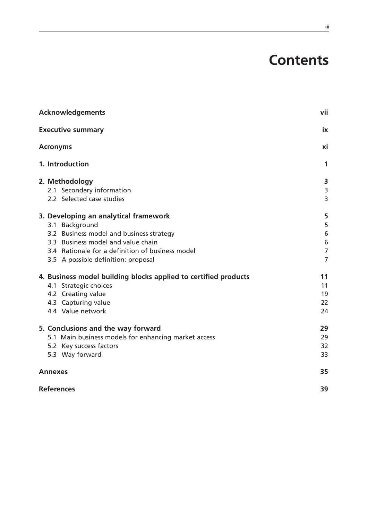# **Contents**

| <b>Acknowledgements</b>                                         | vii            |
|-----------------------------------------------------------------|----------------|
| <b>Executive summary</b><br><b>Acronyms</b>                     |                |
|                                                                 |                |
| 2. Methodology                                                  | 3              |
| 2.1 Secondary information                                       | $\mathsf{3}$   |
| 2.2 Selected case studies                                       | 3              |
| 3. Developing an analytical framework                           | 5              |
| 3.1 Background                                                  | 5              |
| 3.2 Business model and business strategy                        | $\,$ 6 $\,$    |
| 3.3 Business model and value chain                              | $\sqrt{6}$     |
| 3.4 Rationale for a definition of business model                | $\overline{7}$ |
| 3.5 A possible definition: proposal                             | $\overline{7}$ |
| 4. Business model building blocks applied to certified products | 11             |
| 4.1 Strategic choices                                           | 11             |
| 4.2 Creating value                                              | 19             |
| 4.3 Capturing value                                             | 22             |
| 4.4 Value network                                               | 24             |
| 5. Conclusions and the way forward                              | 29             |
| 5.1 Main business models for enhancing market access            | 29             |
| 5.2 Key success factors                                         | 32             |
| 5.3 Way forward                                                 | 33             |
| <b>Annexes</b>                                                  | 35             |
| <b>References</b>                                               | 39             |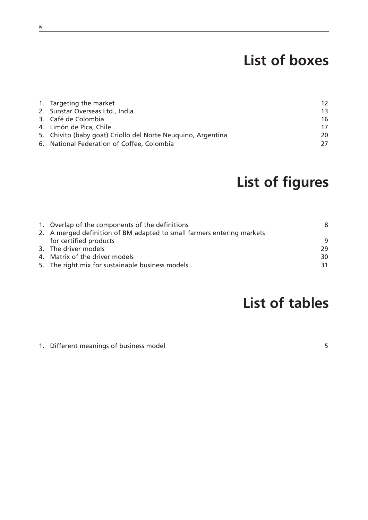# **List of boxes**

| 1. Targeting the market                                      | 12 |
|--------------------------------------------------------------|----|
| 2. Sunstar Overseas Ltd., India                              | 13 |
| 3. Café de Colombia                                          | 16 |
| 4. Limón de Pica, Chile                                      | 17 |
| 5. Chivito (baby goat) Criollo del Norte Neuguino, Argentina | 20 |
| 6. National Federation of Coffee, Colombia                   | 27 |

# **List of figures**

| 1. Overlap of the components of the definitions                        | 8  |
|------------------------------------------------------------------------|----|
| 2. A merged definition of BM adapted to small farmers entering markets |    |
| for certified products                                                 | -9 |
| 3. The driver models                                                   | 29 |
| 4. Matrix of the driver models                                         | 30 |
| 5. The right mix for sustainable business models                       | 31 |
|                                                                        |    |

# **List of tables**

1. Different meanings of business model 6 and 5 and 5 and 5 and 5 and 5 and 5 and 5 and 5 and 5 and 5 and 5 and 5 and 5 and 5 and 5 and 5 and 5 and 5 and 5 and 5 and 5 and 5 and 5 and 5 and 5 and 5 and 5 and 5 and 5 and 5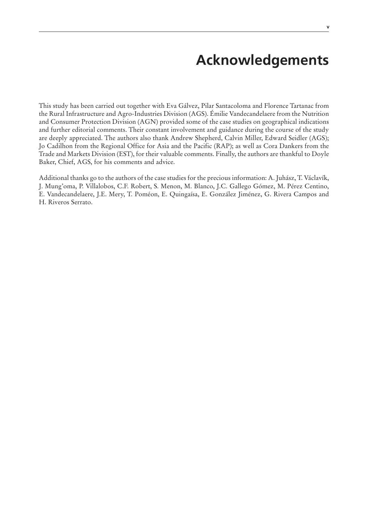# **Acknowledgements**

This study has been carried out together with Eva Gálvez, Pilar Santacoloma and Florence Tartanac from the Rural Infrastructure and Agro-Industries Division (AGS). Émilie Vandecandelaere from the Nutrition and Consumer Protection Division (AGN) provided some of the case studies on geographical indications and further editorial comments. Their constant involvement and guidance during the course of the study are deeply appreciated. The authors also thank Andrew Shepherd, Calvin Miller, Edward Seidler (AGS); Jo Cadilhon from the Regional Office for Asia and the Pacific (RAP); as well as Cora Dankers from the Trade and Markets Division (EST), for their valuable comments. Finally, the authors are thankful to Doyle Baker, Chief, AGS, for his comments and advice.

Additional thanks go to the authors of the case studies for the precious information: A. Juhász, T. Václavík, J. Mung'oma, P. Villalobos, C.F. Robert, S. Menon, M. Blanco, J.C. Gallego Gómez, M. Pérez Centino, E. Vandecandelaere, J.E. Mery, T. Poméon, E. Quingaísa, E. González Jiménez, G. Rivera Campos and H. Riveros Serrato.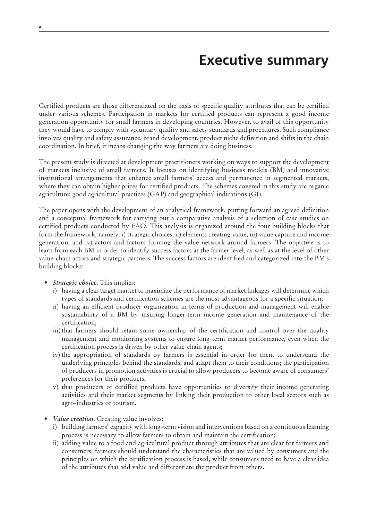# **Executive summary**

Certified products are those differentiated on the basis of specific quality attributes that can be certified under various schemes. Participation in markets for certified products can represent a good income generation opportunity for small farmers in developing countries. However, to avail of this opportunity they would have to comply with voluntary quality and safety standards and procedures. Such compliance involves quality and safety assurance, brand development, product niche definition and shifts in the chain coordination. In brief, it means changing the way farmers are doing business.

The present study is directed at development practitioners working on ways to support the development of markets inclusive of small farmers. It focuses on identifying business models (BM) and innovative institutional arrangements that enhance small farmers' access and permanence in segmented markets, where they can obtain higher prices for certified products. The schemes covered in this study are organic agriculture; good agricultural practices (GAP) and geographical indications (GI).

The paper opens with the development of an analytical framework, putting forward an agreed definition and a conceptual framework for carrying out a comparative analysis of a selection of case studies on certified products conducted by FAO. This analysis is organized around the four building blocks that form the framework, namely: i) strategic choices; ii) elements creating value; iii) value capture and income generation; and iv) actors and factors forming the value network around farmers. The objective is to learn from each BM in order to identify success factors at the farmer level, as well as at the level of other value-chain actors and strategic partners. The success factors are identified and categorized into the BM's building blocks:

- *Strategic choice*. This implies:
	- i) having a clear target market to maximize the performance of market linkages will determine which types of standards and certification schemes are the most advantageous for a specific situation;
	- ii) having an efficient producer organization in terms of production and management will enable sustainability of a BM by insuring longer-term income generation and maintenance of the certification;
	- iii) that farmers should retain some ownership of the certification and control over the quality management and monitoring systems to ensure long-term market performance, even when the certification process is driven by other value-chain agents;
	- iv) the appropriation of standards by farmers is essential in order for them to understand the underlying principles behind the standards, and adapt them to their conditions; the participation of producers in promotion activities is crucial to allow producers to become aware of consumers' preferences for their products;
	- v) that producers of certified products have opportunities to diversify their income generating activities and their market segments by linking their production to other local sectors such as agro-industries or tourism.
- *Value creation*. Creating value involves:
	- i) building farmers' capacity with long-term vision and interventions based on a continuous learning process is necessary to allow farmers to obtain and maintain the certification;
	- ii) adding value to a food and agricultural product through attributes that are clear for farmers and consumers: farmers should understand the characteristics that are valued by consumers and the principles on which the certification process is based, while consumers need to have a clear idea of the attributes that add value and differentiate the product from others.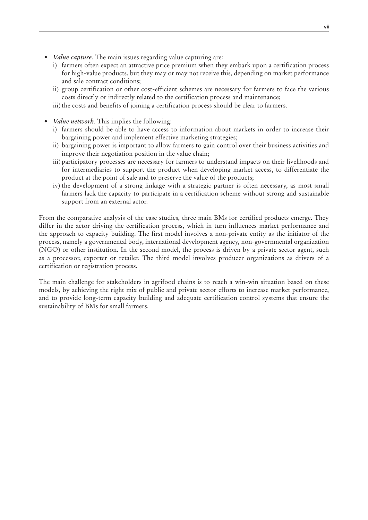- *Value capture*. The main issues regarding value capturing are:
	- i) farmers often expect an attractive price premium when they embark upon a certification process for high-value products, but they may or may not receive this, depending on market performance and sale contract conditions;
	- ii) group certification or other cost-efficient schemes are necessary for farmers to face the various costs directly or indirectly related to the certification process and maintenance;
	- iii) the costs and benefits of joining a certification process should be clear to farmers.
- *Value network*. This implies the following:
	- i) farmers should be able to have access to information about markets in order to increase their bargaining power and implement effective marketing strategies;
	- ii) bargaining power is important to allow farmers to gain control over their business activities and improve their negotiation position in the value chain;
	- iii) participatory processes are necessary for farmers to understand impacts on their livelihoods and for intermediaries to support the product when developing market access, to differentiate the product at the point of sale and to preserve the value of the products;
	- iv) the development of a strong linkage with a strategic partner is often necessary, as most small farmers lack the capacity to participate in a certification scheme without strong and sustainable support from an external actor.

From the comparative analysis of the case studies, three main BMs for certified products emerge. They differ in the actor driving the certification process, which in turn influences market performance and the approach to capacity building. The first model involves a non-private entity as the initiator of the process, namely a governmental body, international development agency, non-governmental organization (NGO) or other institution. In the second model, the process is driven by a private sector agent, such as a processor, exporter or retailer. The third model involves producer organizations as drivers of a certification or registration process.

The main challenge for stakeholders in agrifood chains is to reach a win-win situation based on these models, by achieving the right mix of public and private sector efforts to increase market performance, and to provide long-term capacity building and adequate certification control systems that ensure the sustainability of BMs for small farmers.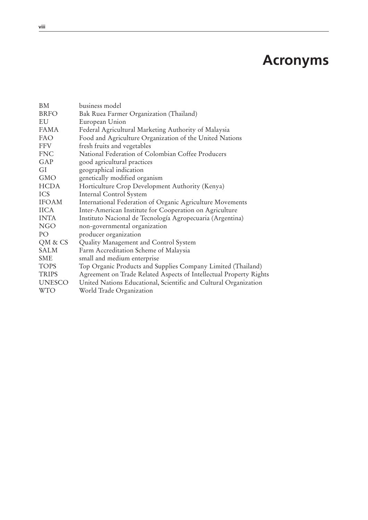# **Acronyms**

| BM            | business model                                                     |
|---------------|--------------------------------------------------------------------|
| <b>BRFO</b>   | Bak Ruea Farmer Organization (Thailand)                            |
| EU            | European Union                                                     |
| <b>FAMA</b>   | Federal Agricultural Marketing Authority of Malaysia               |
| <b>FAO</b>    | Food and Agriculture Organization of the United Nations            |
| FFV           | fresh fruits and vegetables                                        |
| <b>FNC</b>    | National Federation of Colombian Coffee Producers                  |
| GAP           | good agricultural practices                                        |
| GI            | geographical indication                                            |
| <b>GMO</b>    | genetically modified organism                                      |
| <b>HCDA</b>   | Horticulture Crop Development Authority (Kenya)                    |
| <b>ICS</b>    | Internal Control System                                            |
| <b>IFOAM</b>  | International Federation of Organic Agriculture Movements          |
| <b>IICA</b>   | Inter-American Institute for Cooperation on Agriculture            |
| <b>INTA</b>   | Instituto Nacional de Tecnología Agropecuaria (Argentina)          |
| <b>NGO</b>    | non-governmental organization                                      |
| PO            | producer organization                                              |
| QM & CS       | Quality Management and Control System                              |
| SALM          | Farm Accreditation Scheme of Malaysia                              |
| <b>SME</b>    | small and medium enterprise                                        |
| <b>TOPS</b>   | Top Organic Products and Supplies Company Limited (Thailand)       |
| <b>TRIPS</b>  | Agreement on Trade Related Aspects of Intellectual Property Rights |
| <b>UNESCO</b> | United Nations Educational, Scientific and Cultural Organization   |
| <b>WTO</b>    | World Trade Organization                                           |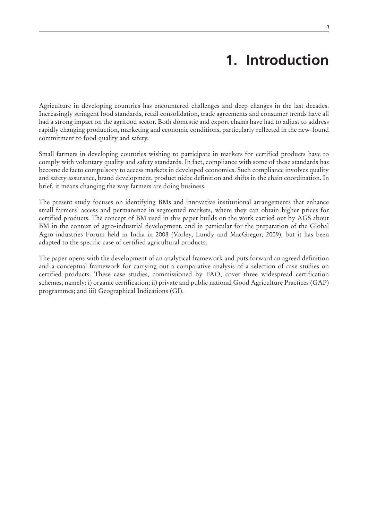# **1. Introduction**

Agriculture in developing countries has encountered challenges and deep changes in the last decades. Increasingly stringent food standards, retail consolidation, trade agreements and consumer trends have all had a strong impact on the agrifood sector. Both domestic and export chains have had to adjust to address rapidly changing production, marketing and economic conditions, particularly reflected in the new-found commitment to food quality and safety.

Small farmers in developing countries wishing to participate in markets for certified products have to comply with voluntary quality and safety standards. In fact, compliance with some of these standards has become de facto compulsory to access markets in developed economies. Such compliance involves quality and safety assurance, brand development, product niche definition and shifts in the chain coordination. In brief, it means changing the way farmers are doing business.

The present study focuses on identifying BMs and innovative institutional arrangements that enhance small farmers' access and permanence in segmented markets, where they can obtain higher prices for certified products. The concept of BM used in this paper builds on the work carried out by AGS about BM in the context of agro-industrial development, and in particular for the preparation of the Global Agro-industries Forum held in India in 2008 (Vorley, Lundy and MacGregor, 2009), but it has been adapted to the specific case of certified agricultural products.

The paper opens with the development of an analytical framework and puts forward an agreed definition and a conceptual framework for carrying out a comparative analysis of a selection of case studies on certified products. These case studies, commissioned by FAO, cover three widespread certification schemes, namely: i) organic certification; ii) private and public national Good Agriculture Practices (GAP) programmes; and iii) Geographical Indications (GI).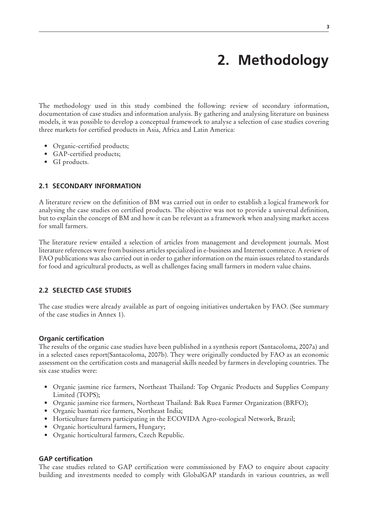# **2. Methodology**

The methodology used in this study combined the following: review of secondary information, documentation of case studies and information analysis. By gathering and analysing literature on business models, it was possible to develop a conceptual framework to analyse a selection of case studies covering three markets for certified products in Asia, Africa and Latin America:

- Organic-certified products;
- GAP-certified products;
- GI products.

# **2.1 Secondary information**

A literature review on the definition of BM was carried out in order to establish a logical framework for analysing the case studies on certified products. The objective was not to provide a universal definition, but to explain the concept of BM and how it can be relevant as a framework when analysing market access for small farmers.

The literature review entailed a selection of articles from management and development journals. Most literature references were from business articles specialized in e-business and Internet commerce. A review of FAO publications was also carried out in order to gather information on the main issues related to standards for food and agricultural products, as well as challenges facing small farmers in modern value chains.

### **2.2 Selected case studies**

The case studies were already available as part of ongoing initiatives undertaken by FAO. (See summary of the case studies in Annex 1).

#### **Organic certification**

The results of the organic case studies have been published in a synthesis report (Santacoloma, 2007a) and in a selected cases report(Santacoloma, 2007b). They were originally conducted by FAO as an economic assessment on the certification costs and managerial skills needed by farmers in developing countries. The six case studies were:

- • Organic jasmine rice farmers, Northeast Thailand: Top Organic Products and Supplies Company Limited (TOPS);
- Organic jasmine rice farmers, Northeast Thailand: Bak Ruea Farmer Organization (BRFO);
- Organic basmati rice farmers, Northeast India;
- Horticulture farmers participating in the ECOVIDA Agro-ecological Network, Brazil;
- Organic horticultural farmers, Hungary;
- Organic horticultural farmers, Czech Republic.

### **GAP certification**

The case studies related to GAP certification were commissioned by FAO to enquire about capacity building and investments needed to comply with GlobalGAP standards in various countries, as well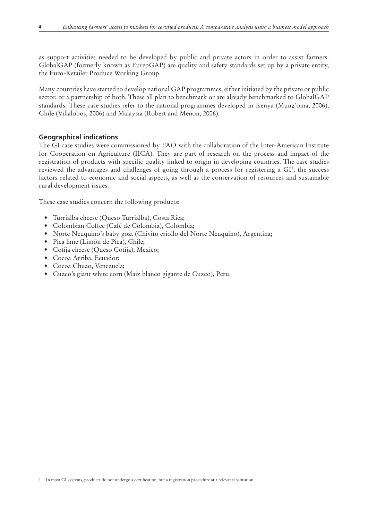as support activities needed to be developed by public and private actors in order to assist farmers. GlobalGAP (formerly known as EurepGAP) are quality and safety standards set up by a private entity, the Euro-Retailer Produce Working Group.

Many countries have started to develop national GAP programmes, either initiated by the private or public sector, or a partnership of both. These all plan to benchmark or are already benchmarked to GlobalGAP standards. These case studies refer to the national programmes developed in Kenya (Mung'oma, 2006), Chile (Villalobos, 2006) and Malaysia (Robert and Menon, 2006).

# **Geographical indications**

The GI case studies were commissioned by FAO with the collaboration of the Inter-American Institute for Cooperation on Agriculture (IICA). They are part of research on the process and impact of the registration of products with specific quality linked to origin in developing countries. The case studies reviewed the advantages and challenges of going through a process for registering a GI<sup>1</sup>, the success factors related to economic and social aspects, as well as the conservation of resources and sustainable rural development issues.

These case studies concern the following products:

- • Turrialba cheese (Queso Turrialba), Costa Rica;
- • Colombian Coffee (Café de Colombia), Colombia;
- Norte Neuquino's baby goat (Chivito criollo del Norte Neuquino), Argentina;
- • Pica lime (Limón de Pica), Chile;
- • Cotija cheese (Queso Cotija), Mexico;
- • Cocoa Arriba, Ecuador;
- • Cocoa Chuao, Venezuela;
- • Cuzco's giant white corn (Maíz blanco gigante de Cuzco), Peru.

<sup>1</sup> In most GI systems, products do not undergo a certification, but a registration procedure at a relevant institution.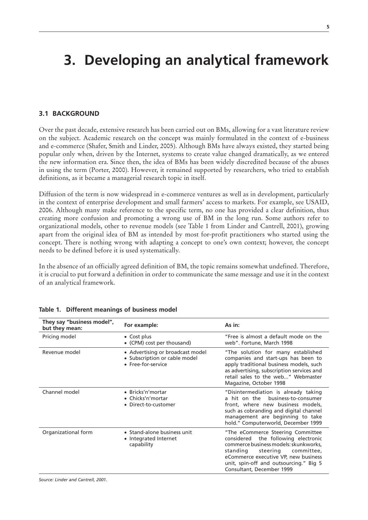# **3. Developing an analytical framework**

# **3.1 Background**

Over the past decade, extensive research has been carried out on BMs, allowing for a vast literature review on the subject. Academic research on the concept was mainly formulated in the context of e-business and e-commerce (Shafer, Smith and Linder, 2005). Although BMs have always existed, they started being popular only when, driven by the Internet, systems to create value changed dramatically, as we entered the new information era. Since then, the idea of BMs has been widely discredited because of the abuses in using the term (Porter, 2000). However, it remained supported by researchers, who tried to establish definitions, as it became a managerial research topic in itself.

Diffusion of the term is now widespread in e-commerce ventures as well as in development, particularly in the context of enterprise development and small farmers' access to markets. For example, see USAID, 2006. Although many make reference to the specific term, no one has provided a clear definition, thus creating more confusion and promoting a wrong use of BM in the long run. Some authors refer to organizational models, other to revenue models (see Table 1 from Linder and Cantrell, 2001), growing apart from the original idea of BM as intended by most for-profit practitioners who started using the concept. There is nothing wrong with adapting a concept to one's own context; however, the concept needs to be defined before it is used systematically.

In the absence of an officially agreed definition of BM, the topic remains somewhat undefined. Therefore, it is crucial to put forward a definition in order to communicate the same message and use it in the context of an analytical framework.

| They say "business model",<br>but they mean: | For example:                                                                            | As in:                                                                                                                                                                                                                                                                 |
|----------------------------------------------|-----------------------------------------------------------------------------------------|------------------------------------------------------------------------------------------------------------------------------------------------------------------------------------------------------------------------------------------------------------------------|
| Pricing model                                | $\bullet$ Cost plus<br>• (CPM) cost per thousand)                                       | "Free is almost a default mode on the<br>web". Fortune, March 1998                                                                                                                                                                                                     |
| Revenue model                                | • Advertising or broadcast model<br>• Subscription or cable model<br>• Free-for-service | "The solution for many established<br>companies and start-ups has been to<br>apply traditional business models, such<br>as advertising, subscription services and<br>retail sales to the web" Webmaster<br>Magazine, October 1998                                      |
| Channel model                                | • Bricks'n'mortar<br>• Chicks'n'mortar<br>• Direct-to-customer                          | "Disintermediation is already taking<br>a hit on the business-to-consumer<br>front, where new business models,<br>such as cobranding and digital channel<br>management are beginning to take<br>hold." Computerworld, December 1999                                    |
| Organizational form                          | • Stand-alone business unit<br>• Integrated Internet<br>capability                      | "The eCommerce Steering Committee<br>the following electronic<br>considered<br>commerce business models: skunkworks.<br>standing<br>steering committee,<br>eCommerce executive VP, new business<br>unit, spin-off and outsourcing." Big 5<br>Consultant, December 1999 |

#### **Table 1. Different meanings of business model**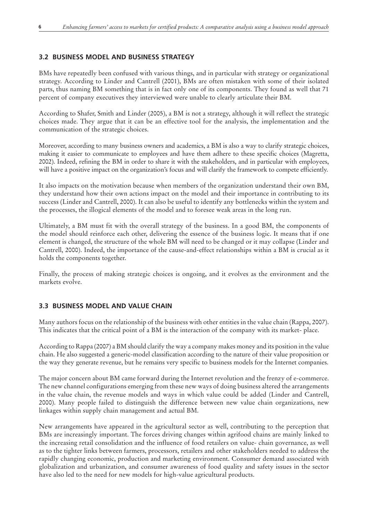# **3.2 Business model and business strategy**

BMs have repeatedly been confused with various things, and in particular with strategy or organizational strategy. According to Linder and Cantrell (2001), BMs are often mistaken with some of their isolated parts, thus naming BM something that is in fact only one of its components. They found as well that 71 percent of company executives they interviewed were unable to clearly articulate their BM.

According to Shafer, Smith and Linder (2005), a BM is not a strategy, although it will reflect the strategic choices made. They argue that it can be an effective tool for the analysis, the implementation and the communication of the strategic choices.

Moreover, according to many business owners and academics, a BM is also a way to clarify strategic choices, making it easier to communicate to employees and have them adhere to these specific choices (Magretta, 2002). Indeed, refining the BM in order to share it with the stakeholders, and in particular with employees, will have a positive impact on the organization's focus and will clarify the framework to compete efficiently.

It also impacts on the motivation because when members of the organization understand their own BM, they understand how their own actions impact on the model and their importance in contributing to its success (Linder and Cantrell, 2000). It can also be useful to identify any bottlenecks within the system and the processes, the illogical elements of the model and to foresee weak areas in the long run.

Ultimately, a BM must fit with the overall strategy of the business. In a good BM, the components of the model should reinforce each other, delivering the essence of the business logic. It means that if one element is changed, the structure of the whole BM will need to be changed or it may collapse (Linder and Cantrell, 2000). Indeed, the importance of the cause-and-effect relationships within a BM is crucial as it holds the components together.

Finally, the process of making strategic choices is ongoing, and it evolves as the environment and the markets evolve.

# **3.3 Business model and value chain**

Many authors focus on the relationship of the business with other entities in the value chain (Rappa, 2007). This indicates that the critical point of a BM is the interaction of the company with its market- place.

According to Rappa (2007) a BM should clarify the way a company makes money and its position in the value chain. He also suggested a generic-model classification according to the nature of their value proposition or the way they generate revenue, but he remains very specific to business models for the Internet companies.

The major concern about BM came forward during the Internet revolution and the frenzy of e-commerce. The new channel configurations emerging from these new ways of doing business altered the arrangements in the value chain, the revenue models and ways in which value could be added (Linder and Cantrell, 2000). Many people failed to distinguish the difference between new value chain organizations, new linkages within supply chain management and actual BM.

New arrangements have appeared in the agricultural sector as well, contributing to the perception that BMs are increasingly important. The forces driving changes within agrifood chains are mainly linked to the increasing retail consolidation and the influence of food retailers on value- chain governance, as well as to the tighter links between farmers, processors, retailers and other stakeholders needed to address the rapidly changing economic, production and marketing environment. Consumer demand associated with globalization and urbanization, and consumer awareness of food quality and safety issues in the sector have also led to the need for new models for high-value agricultural products.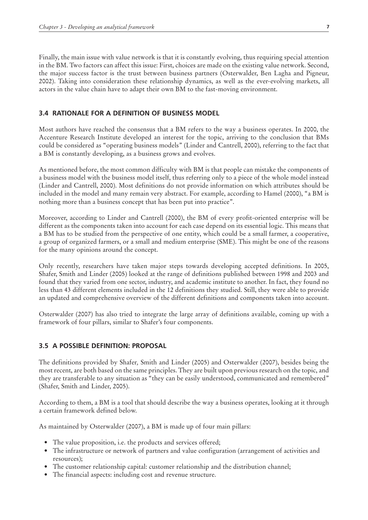Finally, the main issue with value network is that it is constantly evolving, thus requiring special attention in the BM. Two factors can affect this issue: First, choices are made on the existing value network. Second, the major success factor is the trust between business partners (Osterwalder, Ben Lagha and Pigneur, 2002). Taking into consideration these relationship dynamics, as well as the ever-evolving markets, all actors in the value chain have to adapt their own BM to the fast-moving environment.

#### **3.4 Rationale for a definition of business model**

Most authors have reached the consensus that a BM refers to the way a business operates. In 2000, the Accenture Research Institute developed an interest for the topic, arriving to the conclusion that BMs could be considered as "operating business models" (Linder and Cantrell, 2000), referring to the fact that a BM is constantly developing, as a business grows and evolves.

As mentioned before, the most common difficulty with BM is that people can mistake the components of a business model with the business model itself, thus referring only to a piece of the whole model instead (Linder and Cantrell, 2000). Most definitions do not provide information on which attributes should be included in the model and many remain very abstract. For example, according to Hamel (2000), "a BM is nothing more than a business concept that has been put into practice".

Moreover, according to Linder and Cantrell (2000), the BM of every profit-oriented enterprise will be different as the components taken into account for each case depend on its essential logic. This means that a BM has to be studied from the perspective of one entity, which could be a small farmer, a cooperative, a group of organized farmers, or a small and medium enterprise (SME). This might be one of the reasons for the many opinions around the concept.

Only recently, researchers have taken major steps towards developing accepted definitions. In 2005, Shafer, Smith and Linder (2005) looked at the range of definitions published between 1998 and 2003 and found that they varied from one sector, industry, and academic institute to another. In fact, they found no less than 43 different elements included in the 12 definitions they studied. Still, they were able to provide an updated and comprehensive overview of the different definitions and components taken into account.

Osterwalder (2007) has also tried to integrate the large array of definitions available, coming up with a framework of four pillars, similar to Shafer's four components.

#### **3.5 A possible definition: proposal**

The definitions provided by Shafer*,* Smith and Linder (2005) and Osterwalder (2007), besides being the most recent, are both based on the same principles. They are built upon previous research on the topic, and they are transferable to any situation as "they can be easily understood, communicated and remembered" (Shafer, Smith and Linder, 2005).

According to them, a BM is a tool that should describe the way a business operates, looking at it through a certain framework defined below.

As maintained by Osterwalder (2007), a BM is made up of four main pillars:

- The value proposition, i.e. the products and services offered;
- The infrastructure or network of partners and value configuration (arrangement of activities and resources);
- The customer relationship capital: customer relationship and the distribution channel;
- The financial aspects: including cost and revenue structure.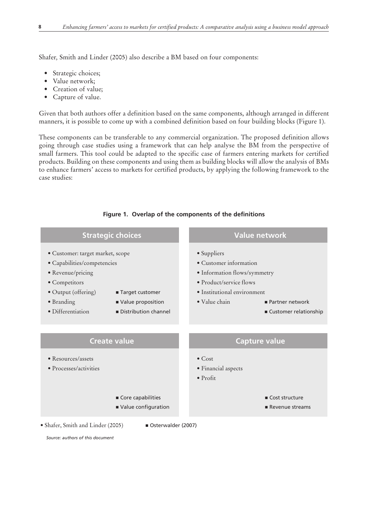Shafer*,* Smith and Linder (2005) also describe a BM based on four components:

- • Strategic choices;
- Value network;
- Creation of value;
- • Capture of value.

Given that both authors offer a definition based on the same components, although arranged in different manners, it is possible to come up with a combined definition based on four building blocks (Figure 1).

These components can be transferable to any commercial organization. The proposed definition allows going through case studies using a framework that can help analyse the BM from the perspective of small farmers. This tool could be adapted to the specific case of farmers entering markets for certified products. Building on these components and using them as building blocks will allow the analysis of BMs to enhance farmers' access to markets for certified products, by applying the following framework to the case studies:

| rigure i. Overlap of the components of the definitions                                                                                                          |                                                                |                                                                                                                                                                                                        |                                     |
|-----------------------------------------------------------------------------------------------------------------------------------------------------------------|----------------------------------------------------------------|--------------------------------------------------------------------------------------------------------------------------------------------------------------------------------------------------------|-------------------------------------|
|                                                                                                                                                                 | <b>Strategic choices</b>                                       | <b>Value network</b>                                                                                                                                                                                   |                                     |
| · Customer: target market, scope<br>· Capabilities/competencies<br>• Revenue/pricing<br>· Competitors<br>• Output (offering)<br>• Branding<br>· Differentiation | ■ Target customer<br>Value proposition<br>Distribution channel | • Suppliers<br>• Customer information<br>· Information flows/symmetry<br>• Product/service flows<br>• Institutional environment<br>$\bullet$ Value chain<br>Partner network<br>■ Customer relationship |                                     |
|                                                                                                                                                                 | <b>Create value</b>                                            |                                                                                                                                                                                                        | <b>Capture value</b>                |
| • Resources/assets<br>• Processes/activities                                                                                                                    |                                                                | $\bullet$ Cost<br>· Financial aspects<br>$\bullet$ Profit                                                                                                                                              |                                     |
|                                                                                                                                                                 | Core capabilities<br>Value configuration                       |                                                                                                                                                                                                        | ■ Cost structure<br>Revenue streams |
| • Shafer, Smith and Linder (2005)                                                                                                                               | Osterwalder (2007)                                             |                                                                                                                                                                                                        |                                     |

# **Figure 1. Overlap of the components of the definitions**

*Source: authors of this document*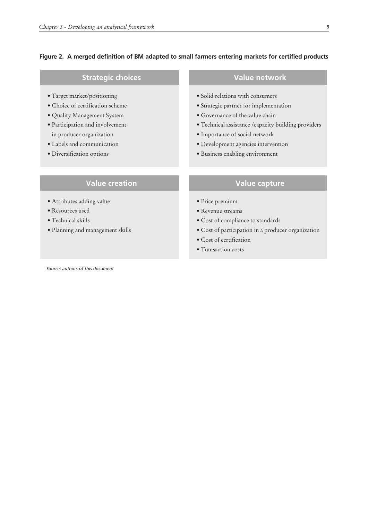#### **Figure 2. A merged definition of BM adapted to small farmers entering markets for certified products**

# **Strategic choices Value network**

- Target market/positioning
- Choice of certification scheme
- Quality Management System
- Participation and involvement in producer organization
- Labels and communication
- Diversification options

# **Value creation Value capture**

- Attributes adding value
- Resources used
- Technical skills
- Planning and management skills

- Solid relations with consumers
- Strategic partner for implementation
- Governance of the value chain
- Technical assistance /capacity building providers
- Importance of social network
- Development agencies intervention
- Business enabling environment

- Price premium
- Revenue streams
- Cost of compliance to standards
- Cost of participation in a producer organization
- Cost of certification
- Transaction costs

*Source: authors of this document*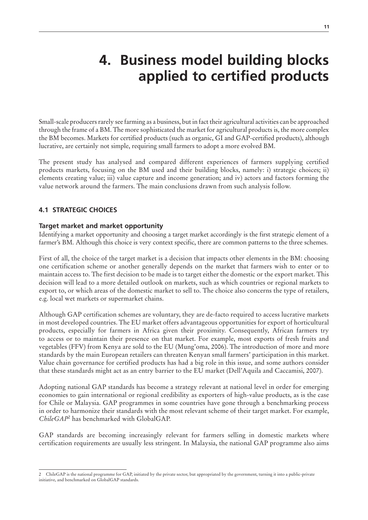# **4. Business model building blocks applied to certified products**

Small-scale producers rarely see farming as a business, but in fact their agricultural activities can be approached through the frame of a BM. The more sophisticated the market for agricultural products is, the more complex the BM becomes. Markets for certified products (such as organic, GI and GAP-certified products), although lucrative, are certainly not simple, requiring small farmers to adopt a more evolved BM.

The present study has analysed and compared different experiences of farmers supplying certified products markets, focusing on the BM used and their building blocks, namely: i) strategic choices; ii) elements creating value; iii) value capture and income generation; and iv) actors and factors forming the value network around the farmers. The main conclusions drawn from such analysis follow.

# **4.1 Strategic choices**

### **Target market and market opportunity**

Identifying a market opportunity and choosing a target market accordingly is the first strategic element of a farmer's BM. Although this choice is very context specific, there are common patterns to the three schemes.

First of all, the choice of the target market is a decision that impacts other elements in the BM: choosing one certification scheme or another generally depends on the market that farmers wish to enter or to maintain access to. The first decision to be made is to target either the domestic or the export market. This decision will lead to a more detailed outlook on markets, such as which countries or regional markets to export to, or which areas of the domestic market to sell to. The choice also concerns the type of retailers, e.g. local wet markets or supermarket chains.

Although GAP certification schemes are voluntary, they are de-facto required to access lucrative markets in most developed countries. The EU market offers advantageous opportunities for export of horticultural products, especially for farmers in Africa given their proximity. Consequently, African farmers try to access or to maintain their presence on that market. For example, most exports of fresh fruits and vegetables (FFV) from Kenya are sold to the EU (Mung'oma, 2006). The introduction of more and more standards by the main European retailers can threaten Kenyan small farmers' participation in this market. Value chain governance for certified products has had a big role in this issue, and some authors consider that these standards might act as an entry barrier to the EU market (Dell'Aquila and Caccamisi, 2007).

Adopting national GAP standards has become a strategy relevant at national level in order for emerging economies to gain international or regional credibility as exporters of high-value products, as is the case for Chile or Malaysia. GAP programmes in some countries have gone through a benchmarking process in order to harmonize their standards with the most relevant scheme of their target market. For example, *ChileGAP*<sup>2</sup> has benchmarked with GlobalGAP.

GAP standards are becoming increasingly relevant for farmers selling in domestic markets where certification requirements are usually less stringent. In Malaysia, the national GAP programme also aims

<sup>2</sup> ChileGAP is the national programme for GAP, initiated by the private sector, but appropriated by the government, turning it into a public-private initiative, and benchmarked on GlobalGAP standards.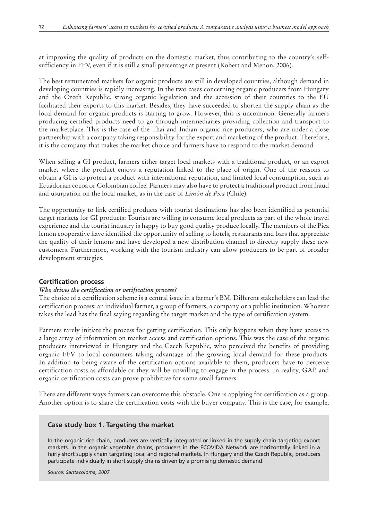at improving the quality of products on the domestic market, thus contributing to the country's selfsufficiency in FFV, even if it is still a small percentage at present (Robert and Menon, 2006).

The best remunerated markets for organic products are still in developed countries, although demand in developing countries is rapidly increasing. In the two cases concerning organic producers from Hungary and the Czech Republic, strong organic legislation and the accession of their countries to the EU facilitated their exports to this market. Besides, they have succeeded to shorten the supply chain as the local demand for organic products is starting to grow. However, this is uncommon: Generally farmers producing certified products need to go through intermediaries providing collection and transport to the marketplace. This is the case of the Thai and Indian organic rice producers, who are under a close partnership with a company taking responsibility for the export and marketing of the product. Therefore, it is the company that makes the market choice and farmers have to respond to the market demand.

When selling a GI product, farmers either target local markets with a traditional product, or an export market where the product enjoys a reputation linked to the place of origin. One of the reasons to obtain a GI is to protect a product with international reputation, and limited local consumption, such as Ecuadorian cocoa or Colombian coffee. Farmers may also have to protect a traditional product from fraud and usurpation on the local market, as in the case of *Limón de Pica* (Chile).

The opportunity to link certified products with tourist destinations has also been identified as potential target markets for GI products: Tourists are willing to consume local products as part of the whole travel experience and the tourist industry is happy to buy good quality produce locally. The members of the Pica lemon cooperative have identified the opportunity of selling to hotels, restaurants and bars that appreciate the quality of their lemons and have developed a new distribution channel to directly supply these new customers. Furthermore, working with the tourism industry can allow producers to be part of broader development strategies.

#### **Certification process**

#### *Who drives the certification or verification process?*

The choice of a certification scheme is a central issue in a farmer's BM. Different stakeholders can lead the certification process: an individual farmer, a group of farmers, a company or a public institution. Whoever takes the lead has the final saying regarding the target market and the type of certification system.

Farmers rarely initiate the process for getting certification. This only happens when they have access to a large array of information on market access and certification options. This was the case of the organic producers interviewed in Hungary and the Czech Republic, who perceived the benefits of providing organic FFV to local consumers taking advantage of the growing local demand for these products. In addition to being aware of the certification options available to them, producers have to perceive certification costs as affordable or they will be unwilling to engage in the process. In reality, GAP and organic certification costs can prove prohibitive for some small farmers.

There are different ways farmers can overcome this obstacle. One is applying for certification as a group. Another option is to share the certification costs with the buyer company. This is the case, for example,

#### **Case study box 1. Targeting the market**

In the organic rice chain, producers are vertically integrated or linked in the supply chain targeting export markets. In the organic vegetable chains, producers in the ECOVIDA Network are horizontally linked in a fairly short supply chain targeting local and regional markets. In Hungary and the Czech Republic, producers participate individually in short supply chains driven by a promising domestic demand.

*Source: Santacoloma, 2007*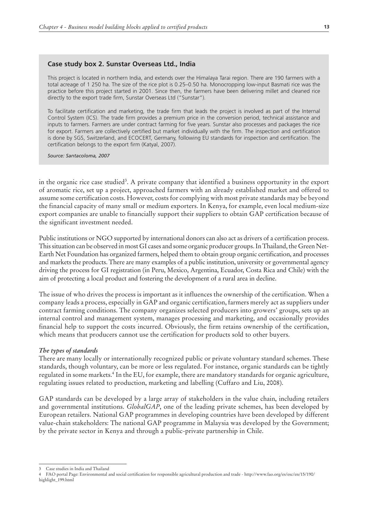#### **Case study box 2. Sunstar Overseas Ltd., India**

This project is located in northern India, and extends over the Himalaya Tarai region. There are 190 farmers with a total acreage of 1 250 ha. The size of the rice plot is 0.25–0.50 ha. Monocropping low-input Basmati rice was the practice before this project started in 2001. Since then, the farmers have been delivering millet and cleaned rice directly to the export trade firm, Sunstar Overseas Ltd ("Sunstar").

To facilitate certification and marketing, the trade firm that leads the project is involved as part of the Internal Control System (ICS). The trade firm provides a premium price in the conversion period, technical assistance and inputs to farmers. Farmers are under contract farming for five years. Sunstar also processes and packages the rice for export. Farmers are collectively certified but market individually with the firm. The inspection and certification is done by SGS, Switzerland, and ECOCERT, Germany, following EU standards for inspection and certification. The certification belongs to the export firm (Katyal, 2007).

*Source: Santacoloma, 2007*

in the organic rice case studied<sup>3</sup>. A private company that identified a business opportunity in the export of aromatic rice, set up a project, approached farmers with an already established market and offered to assume some certification costs. However, costs for complying with most private standards may be beyond the financial capacity of many small or medium exporters. In Kenya, for example, even local medium-size export companies are unable to financially support their suppliers to obtain GAP certification because of the significant investment needed.

Public institutions or NGO supported by international donors can also act as drivers of a certification process. This situation can be observed in most GI cases and some organic producer groups. In Thailand, the Green Net-Earth Net Foundation has organized farmers, helped them to obtain group organic certification, and processes and markets the products. There are many examples of a public institution, university or governmental agency driving the process for GI registration (in Peru, Mexico, Argentina, Ecuador, Costa Rica and Chile) with the aim of protecting a local product and fostering the development of a rural area in decline.

The issue of who drives the process is important as it influences the ownership of the certification. When a company leads a process, especially in GAP and organic certification, farmers merely act as suppliers under contract farming conditions. The company organizes selected producers into growers' groups, sets up an internal control and management system, manages processing and marketing, and occasionally provides financial help to support the costs incurred. Obviously, the firm retains ownership of the certification, which means that producers cannot use the certification for products sold to other buyers.

#### *The types of standards*

There are many locally or internationally recognized public or private voluntary standard schemes. These standards, though voluntary, can be more or less regulated. For instance, organic standards can be tightly regulated in some markets.<sup>4</sup> In the EU, for example, there are mandatory standards for organic agriculture, regulating issues related to production, marketing and labelling (Cuffaro and Liu, 2008).

GAP standards can be developed by a large array of stakeholders in the value chain, including retailers and governmental institutions. *GlobalGAP*, one of the leading private schemes, has been developed by European retailers. National GAP programmes in developing countries have been developed by different value-chain stakeholders: The national GAP programme in Malaysia was developed by the Government; by the private sector in Kenya and through a public-private partnership in Chile.

<sup>3</sup> Case studies in India and Thailand

<sup>4</sup> FAO portal Page: Environmental and social certification for responsible agricultural production and trade - http://www.fao.org/es/esc/en/15/190/ highlight\_199.html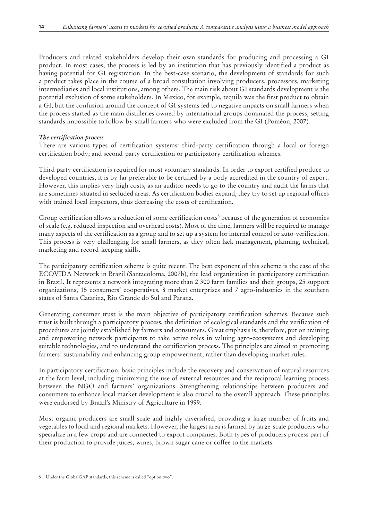Producers and related stakeholders develop their own standards for producing and processing a GI product. In most cases, the process is led by an institution that has previously identified a product as having potential for GI registration. In the best-case scenario, the development of standards for such a product takes place in the course of a broad consultation involving producers, processors, marketing intermediaries and local institutions, among others. The main risk about GI standards development is the potential exclusion of some stakeholders. In Mexico, for example, tequila was the first product to obtain a GI, but the confusion around the concept of GI systems led to negative impacts on small farmers when the process started as the main distilleries owned by international groups dominated the process, setting standards impossible to follow by small farmers who were excluded from the GI (Poméon, 2007).

### *The certification process*

There are various types of certification systems: third-party certification through a local or foreign certification body; and second-party certification or participatory certification schemes.

Third party certification is required for most voluntary standards. In order to export certified produce to developed countries, it is by far preferable to be certified by a body accredited in the country of export. However, this implies very high costs, as an auditor needs to go to the country and audit the farms that are sometimes situated in secluded areas. As certification bodies expand, they try to set up regional offices with trained local inspectors, thus decreasing the costs of certification.

Group certification allows a reduction of some certification costs<sup>5</sup> because of the generation of economies of scale (e.g. reduced inspection and overhead costs). Most of the time, farmers will be required to manage many aspects of the certification as a group and to set up a system for internal control or auto-verification. This process is very challenging for small farmers, as they often lack management, planning, technical, marketing and record-keeping skills.

The participatory certification scheme is quite recent. The best exponent of this scheme is the case of the ECOVIDA Network in Brazil (Santacoloma, 2007b), the lead organization in participatory certification in Brazil. It represents a network integrating more than 2 300 farm families and their groups, 25 support organizations, 15 consumers' cooperatives, 8 market enterprises and 7 agro-industries in the southern states of Santa Catarina, Rio Grande do Sul and Parana.

Generating consumer trust is the main objective of participatory certification schemes. Because such trust is built through a participatory process, the definition of ecological standards and the verification of procedures are jointly established by farmers and consumers. Great emphasis is, therefore, put on training and empowering network participants to take active roles in valuing agro-ecosystems and developing suitable technologies, and to understand the certification process. The principles are aimed at promoting farmers' sustainability and enhancing group empowerment, rather than developing market rules.

In participatory certification, basic principles include the recovery and conservation of natural resources at the farm level, including minimizing the use of external resources and the reciprocal learning process between the NGO and farmers' organizations. Strengthening relationships between producers and consumers to enhance local market development is also crucial to the overall approach. These principles were endorsed by Brazil's Ministry of Agriculture in 1999.

Most organic producers are small scale and highly diversified, providing a large number of fruits and vegetables to local and regional markets. However, the largest area is farmed by large-scale producers who specialize in a few crops and are connected to export companies. Both types of producers process part of their production to provide juices, wines, brown sugar cane or coffee to the markets.

<sup>5</sup> Under the GlobalGAP standards, this scheme is called "option two".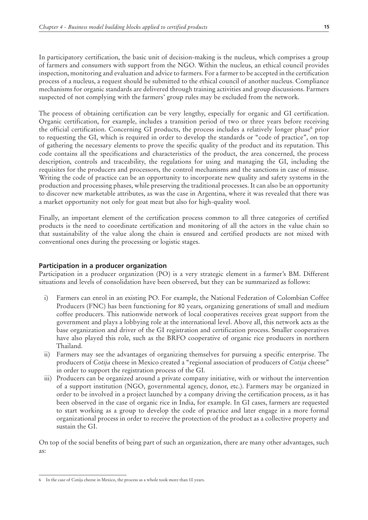In participatory certification, the basic unit of decision-making is the nucleus, which comprises a group of farmers and consumers with support from the NGO. Within the nucleus, an ethical council provides inspection, monitoring and evaluation and advice to farmers. For a farmer to be accepted in the certification process of a nucleus, a request should be submitted to the ethical council of another nucleus. Compliance mechanisms for organic standards are delivered through training activities and group discussions. Farmers suspected of not complying with the farmers' group rules may be excluded from the network.

The process of obtaining certification can be very lengthy, especially for organic and GI certification. Organic certification, for example, includes a transition period of two or three years before receiving the official certification. Concerning GI products, the process includes a relatively longer phase<sup>6</sup> prior to requesting the GI, which is required in order to develop the standards or "code of practice", on top of gathering the necessary elements to prove the specific quality of the product and its reputation. This code contains all the specifications and characteristics of the product, the area concerned, the process description, controls and traceability, the regulations for using and managing the GI, including the requisites for the producers and processors, the control mechanisms and the sanctions in case of misuse. Writing the code of practice can be an opportunity to incorporate new quality and safety systems in the production and processing phases, while preserving the traditional processes. It can also be an opportunity to discover new marketable attributes, as was the case in Argentina, where it was revealed that there was a market opportunity not only for goat meat but also for high-quality wool.

Finally, an important element of the certification process common to all three categories of certified products is the need to coordinate certification and monitoring of all the actors in the value chain so that sustainability of the value along the chain is ensured and certified products are not mixed with conventional ones during the processing or logistic stages.

### **Participation in a producer organization**

Participation in a producer organization (PO) is a very strategic element in a farmer's BM. Different situations and levels of consolidation have been observed, but they can be summarized as follows:

- i) Farmers can enrol in an existing PO. For example, the National Federation of Colombian Coffee Producers (FNC) has been functioning for 80 years, organizing generations of small and medium coffee producers. This nationwide network of local cooperatives receives great support from the government and plays a lobbying role at the international level. Above all, this network acts as the base organization and driver of the GI registration and certification process. Smaller cooperatives have also played this role, such as the BRFO cooperative of organic rice producers in northern Thailand.
- ii) Farmers may see the advantages of organizing themselves for pursuing a specific enterprise. The producers of *Cotija* cheese in Mexico created a "regional association of producers of *Cotija* cheese" in order to support the registration process of the GI.
- iii) Producers can be organized around a private company initiative, with or without the intervention of a support institution (NGO, governmental agency, donor, etc.). Farmers may be organized in order to be involved in a project launched by a company driving the certification process, as it has been observed in the case of organic rice in India, for example. In GI cases, farmers are requested to start working as a group to develop the code of practice and later engage in a more formal organizational process in order to receive the protection of the product as a collective property and sustain the GI.

On top of the social benefits of being part of such an organization, there are many other advantages, such as:

<sup>6</sup> In the case of Cotija cheese in Mexico, the process as a whole took more than 10 years.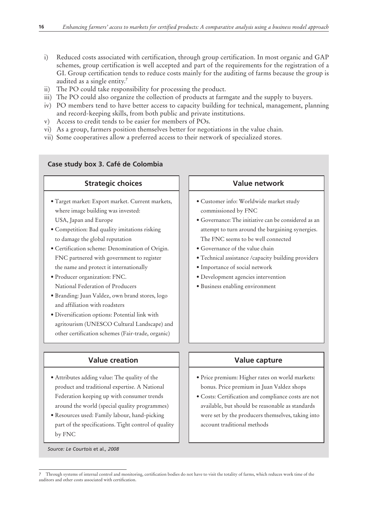- i) Reduced costs associated with certification, through group certification. In most organic and GAP schemes, group certification is well accepted and part of the requirements for the registration of a GI. Group certification tends to reduce costs mainly for the auditing of farms because the group is audited as a single entity.7
- ii) The PO could take responsibility for processing the product.
- iii) The PO could also organize the collection of products at farmgate and the supply to buyers.
- iv) PO members tend to have better access to capacity building for technical, management, planning and record-keeping skills, from both public and private institutions.
- v) Access to credit tends to be easier for members of POs.

**Case study box 3. Café de Colombia** 

- vi) As a group, farmers position themselves better for negotiations in the value chain.
- vii) Some cooperatives allow a preferred access to their network of specialized stores.

| Case staay box si care ac colonibia                                                                                                                                                                                                                                                                                                                                                                                                                                                                                                                                                                                                                            |                                                                                                                                                                                                                                                                                                                                                                                                                         |
|----------------------------------------------------------------------------------------------------------------------------------------------------------------------------------------------------------------------------------------------------------------------------------------------------------------------------------------------------------------------------------------------------------------------------------------------------------------------------------------------------------------------------------------------------------------------------------------------------------------------------------------------------------------|-------------------------------------------------------------------------------------------------------------------------------------------------------------------------------------------------------------------------------------------------------------------------------------------------------------------------------------------------------------------------------------------------------------------------|
| <b>Strategic choices</b>                                                                                                                                                                                                                                                                                                                                                                                                                                                                                                                                                                                                                                       | <b>Value network</b>                                                                                                                                                                                                                                                                                                                                                                                                    |
| · Target market: Export market. Current markets,<br>where image building was invested:<br>USA, Japan and Europe<br>· Competition: Bad quality imitations risking<br>to damage the global reputation<br>· Certification scheme: Denomination of Origin.<br>FNC partnered with government to register<br>the name and protect it internationally<br>· Producer organization: FNC.<br>National Federation of Producers<br>· Branding: Juan Valdez, own brand stores, logo<br>and affiliation with roadsters<br>· Diversification options: Potential link with<br>agritourism (UNESCO Cultural Landscape) and<br>other certification schemes (Fair-trade, organic) | · Customer info: Worldwide market study<br>commissioned by FNC<br>• Governance: The initiative can be considered as an<br>attempt to turn around the bargaining synergies.<br>The FNC seems to be well connected<br>• Governance of the value chain<br>• Technical assistance / capacity building providers<br>· Importance of social network<br>· Development agencies intervention<br>· Business enabling environment |
|                                                                                                                                                                                                                                                                                                                                                                                                                                                                                                                                                                                                                                                                |                                                                                                                                                                                                                                                                                                                                                                                                                         |
| <b>Value creation</b>                                                                                                                                                                                                                                                                                                                                                                                                                                                                                                                                                                                                                                          | <b>Value capture</b>                                                                                                                                                                                                                                                                                                                                                                                                    |

# • Attributes adding value: The quality of the product and traditional expertise. A National Federation keeping up with consumer trends around the world (special quality programmes)

• Resources used: Family labour, hand-picking part of the specifications. Tight control of quality by FNC

*Source: Le Courtois* et al*., 2008*

# • Price premium: Higher rates on world markets: bonus. Price premium in Juan Valdez shops

• Costs: Certification and compliance costs are not available, but should be reasonable as standards were set by the producers themselves, taking into account traditional methods

<sup>7</sup> Through systems of internal control and monitoring, certification bodies do not have to visit the totality of farms, which reduces work time of the auditors and other costs associated with certification.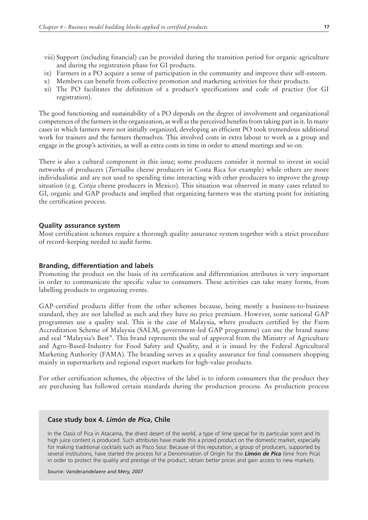- viii) Support (including financial) can be provided during the transition period for organic agriculture and during the registration phase for GI products.
- ix) Farmers in a PO acquire a sense of participation in the community and improve their self-esteem.
- x) Members can benefit from collective promotion and marketing activities for their products.
- xi) The PO facilitates the definition of a product's specifications and code of practice (for GI registration).

The good functioning and sustainability of a PO depends on the degree of involvement and organizational competences of the farmers in the organization, as well as the perceived benefits from taking part in it. In many cases in which farmers were not initially organized, developing an efficient PO took tremendous additional work for trainers and the farmers themselves. This involved costs in extra labour to work as a group and engage in the group's activities, as well as extra costs in time in order to attend meetings and so on.

There is also a cultural component in this issue; some producers consider it normal to invest in social networks of producers (*Turrialba* cheese producers in Costa Rica for example) while others are more individualistic and are not used to spending time interacting with other producers to improve the group situation (e.g. *Cotija* cheese producers in Mexico). This situation was observed in many cases related to GI, organic and GAP products and implied that organizing farmers was the starting point for initiating the certification process.

#### **Quality assurance system**

Most certification schemes require a thorough quality assurance system together with a strict procedure of record-keeping needed to audit farms.

#### **Branding, differentiation and labels**

Promoting the product on the basis of its certification and differentiation attributes is very important in order to communicate the specific value to consumers. These activities can take many forms, from labelling products to organizing events.

GAP-certified products differ from the other schemes because, being mostly a business-to-business standard, they are not labelled as such and they have no price premium. However, some national GAP programmes use a quality seal. This is the case of Malaysia, where products certified by the Farm Accreditation Scheme of Malaysia (SALM, government-led GAP programme) can use the brand name and seal "Malaysia's Best". This brand represents the seal of approval from the Ministry of Agriculture and Agro-Based-Industry for Food Safety and Quality, and it is issued by the Federal Agricultural Marketing Authority (FAMA). The branding serves as a quality assurance for final consumers shopping mainly in supermarkets and regional export markets for high-value products.

For other certification schemes, the objective of the label is to inform consumers that the product they are purchasing has followed certain standards during the production process. As production process

#### **Case study box 4.** *Limón de Pica***, Chile**

In the Oasis of Pica in Atacama, the driest desert of the world, a type of lime special for its particular scent and its high juice content is produced. Such attributes have made this a prized product on the domestic market, especially for making traditional cocktails such as Pisco Sour. Because of this reputation, a group of producers, supported by several institutions, have started the process for a Denomination of Origin for the *Limón de Pica* (lime from Pica) in order to protect the quality and prestige of the product, obtain better prices and gain access to new markets.

*Source: Vandecandelaere and Mery, 2007*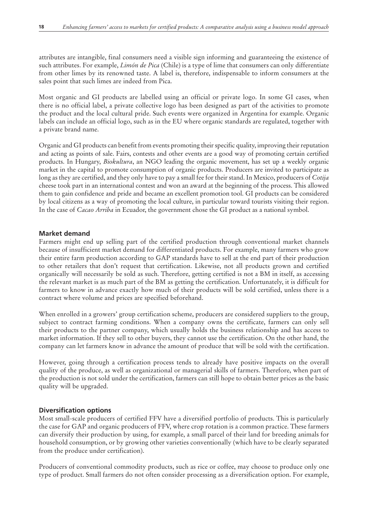attributes are intangible, final consumers need a visible sign informing and guaranteeing the existence of such attributes. For example, *Limón de Pica* (Chile) is a type of lime that consumers can only differentiate from other limes by its renowned taste. A label is, therefore, indispensable to inform consumers at the sales point that such limes are indeed from Pica.

Most organic and GI products are labelled using an official or private logo. In some GI cases, when there is no official label, a private collective logo has been designed as part of the activities to promote the product and the local cultural pride. Such events were organized in Argentina for example. Organic labels can include an official logo, such as in the EU where organic standards are regulated, together with a private brand name.

Organic and GI products can benefit from events promoting their specific quality, improving their reputation and acting as points of sale. Fairs, contests and other events are a good way of promoting certain certified products. In Hungary, *Biokultura*, an NGO leading the organic movement, has set up a weekly organic market in the capital to promote consumption of organic products. Producers are invited to participate as long as they are certified, and they only have to pay a small fee for their stand. In Mexico, producers of *Cotija* cheese took part in an international contest and won an award at the beginning of the process. This allowed them to gain confidence and pride and became an excellent promotion tool. GI products can be considered by local citizens as a way of promoting the local culture, in particular toward tourists visiting their region. In the case of *Cacao Arriba* in Ecuador, the government chose the GI product as a national symbol.

#### **Market demand**

Farmers might end up selling part of the certified production through conventional market channels because of insufficient market demand for differentiated products. For example, many farmers who grow their entire farm production according to GAP standards have to sell at the end part of their production to other retailers that don't request that certification. Likewise, not all products grown and certified organically will necessarily be sold as such. Therefore, getting certified is not a BM in itself, as accessing the relevant market is as much part of the BM as getting the certification. Unfortunately, it is difficult for farmers to know in advance exactly how much of their products will be sold certified, unless there is a contract where volume and prices are specified beforehand.

When enrolled in a growers' group certification scheme, producers are considered suppliers to the group, subject to contract farming conditions. When a company owns the certificate, farmers can only sell their products to the partner company, which usually holds the business relationship and has access to market information. If they sell to other buyers, they cannot use the certification. On the other hand, the company can let farmers know in advance the amount of produce that will be sold with the certification.

However, going through a certification process tends to already have positive impacts on the overall quality of the produce, as well as organizational or managerial skills of farmers. Therefore, when part of the production is not sold under the certification, farmers can still hope to obtain better prices as the basic quality will be upgraded.

#### **Diversification options**

Most small-scale producers of certified FFV have a diversified portfolio of products. This is particularly the case for GAP and organic producers of FFV, where crop rotation is a common practice. These farmers can diversify their production by using, for example, a small parcel of their land for breeding animals for household consumption, or by growing other varieties conventionally (which have to be clearly separated from the produce under certification).

Producers of conventional commodity products, such as rice or coffee, may choose to produce only one type of product. Small farmers do not often consider processing as a diversification option. For example,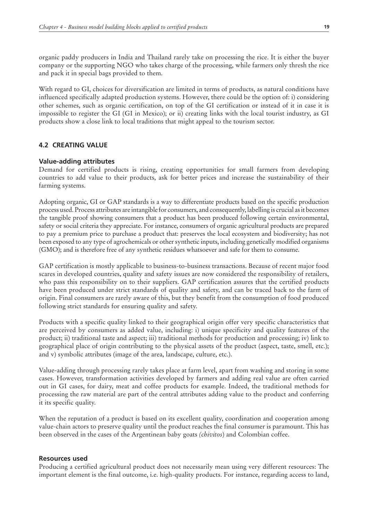organic paddy producers in India and Thailand rarely take on processing the rice. It is either the buyer company or the supporting NGO who takes charge of the processing, while farmers only thresh the rice and pack it in special bags provided to them.

With regard to GI, choices for diversification are limited in terms of products, as natural conditions have influenced specifically adapted production systems. However, there could be the option of: i) considering other schemes, such as organic certification, on top of the GI certification or instead of it in case it is impossible to register the GI (GI in Mexico); or ii) creating links with the local tourist industry, as GI products show a close link to local traditions that might appeal to the tourism sector.

# **4.2 Creating value**

## **Value-adding attributes**

Demand for certified products is rising, creating opportunities for small farmers from developing countries to add value to their products, ask for better prices and increase the sustainability of their farming systems.

Adopting organic, GI or GAP standards is a way to differentiate products based on the specific production process used. Process attributes are intangible for consumers, and consequently, labelling is crucial as it becomes the tangible proof showing consumers that a product has been produced following certain environmental, safety or social criteria they appreciate. For instance, consumers of organic agricultural products are prepared to pay a premium price to purchase a product that: preserves the local ecosystem and biodiversity; has not been exposed to any type of agrochemicals or other synthetic inputs, including genetically modified organisms (GMO); and is therefore free of any synthetic residues whatsoever and safe for them to consume.

GAP certification is mostly applicable to business-to-business transactions. Because of recent major food scares in developed countries, quality and safety issues are now considered the responsibility of retailers, who pass this responsibility on to their suppliers. GAP certification assures that the certified products have been produced under strict standards of quality and safety, and can be traced back to the farm of origin. Final consumers are rarely aware of this, but they benefit from the consumption of food produced following strict standards for ensuring quality and safety.

Products with a specific quality linked to their geographical origin offer very specific characteristics that are perceived by consumers as added value, including: i) unique specificity and quality features of the product; ii) traditional taste and aspect; iii) traditional methods for production and processing; iv) link to geographical place of origin contributing to the physical assets of the product (aspect, taste, smell, etc.); and v) symbolic attributes (image of the area, landscape, culture, etc.).

Value-adding through processing rarely takes place at farm level, apart from washing and storing in some cases. However, transformation activities developed by farmers and adding real value are often carried out in GI cases, for dairy, meat and coffee products for example. Indeed, the traditional methods for processing the raw material are part of the central attributes adding value to the product and conferring it its specific quality.

When the reputation of a product is based on its excellent quality, coordination and cooperation among value-chain actors to preserve quality until the product reaches the final consumer is paramount. This has been observed in the cases of the Argentinean baby goats *(chivitos*) and Colombian coffee.

### **Resources used**

Producing a certified agricultural product does not necessarily mean using very different resources: The important element is the final outcome, i.e. high-quality products. For instance, regarding access to land,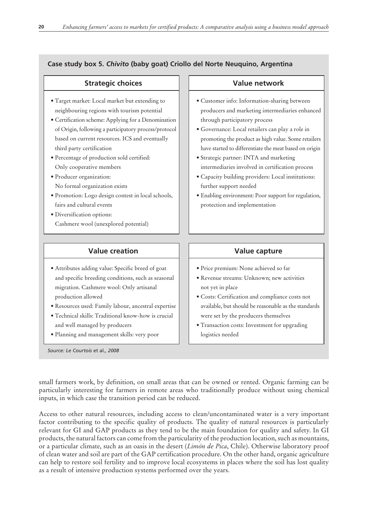# **Case study box 5.** *Chivito* **(baby goat) Criollo del Norte Neuquino, Argentina**

| <b>Strategic choices</b>                                                                                                                                                                                                                                                                                                                                                                                                                                                                                                                                                                     | <b>Value network</b>                                                                                                                                                                                                                                                                                                                                                                                                                                                                                                                                                          |
|----------------------------------------------------------------------------------------------------------------------------------------------------------------------------------------------------------------------------------------------------------------------------------------------------------------------------------------------------------------------------------------------------------------------------------------------------------------------------------------------------------------------------------------------------------------------------------------------|-------------------------------------------------------------------------------------------------------------------------------------------------------------------------------------------------------------------------------------------------------------------------------------------------------------------------------------------------------------------------------------------------------------------------------------------------------------------------------------------------------------------------------------------------------------------------------|
| · Target market: Local market but extending to<br>neighbouring regions with tourism potential<br>· Certification scheme: Applying for a Denomination<br>of Origin, following a participatory process/protocol<br>based on current resources. ICS and eventually<br>third party certification<br>· Percentage of production sold certified:<br>Only cooperative members<br>· Producer organization:<br>No formal organization exists<br>· Promotion: Logo design contest in local schools,<br>fairs and cultural events<br>· Diversification options:<br>Cashmere wool (unexplored potential) | · Customer info: Information-sharing between<br>producers and marketing intermediaries enhanced<br>through participatory process<br>· Governance: Local retailers can play a role in<br>promoting the product as high value. Some retailers<br>have started to differentiate the meat based on origin<br>· Strategic partner: INTA and marketing<br>intermediaries involved in certification process<br>· Capacity building providers: Local institutions:<br>further support needed<br>· Enabling environment: Poor support for regulation,<br>protection and implementation |
| <b>Value creation</b>                                                                                                                                                                                                                                                                                                                                                                                                                                                                                                                                                                        | Value capture                                                                                                                                                                                                                                                                                                                                                                                                                                                                                                                                                                 |
| · Attributes adding value: Specific breed of goat<br>and specific breeding conditions, such as seasonal<br>migration. Cashmere wool: Only artisanal<br>production allowed<br>· Resources used: Family labour, ancestral expertise<br>· Technical skills: Traditional know-how is crucial<br>and well managed by producers<br>· Planning and management skills: very poor<br>Source: Le Courtois et al., 2008                                                                                                                                                                                 | · Price premium: None achieved so far<br>· Revenue streams: Unknown; new activities<br>not yet in place<br>· Costs: Certification and compliance costs not<br>available, but should be reasonable as the standards<br>were set by the producers themselves<br>· Transaction costs: Investment for upgrading<br>logistics needed                                                                                                                                                                                                                                               |

small farmers work, by definition, on small areas that can be owned or rented. Organic farming can be particularly interesting for farmers in remote areas who traditionally produce without using chemical inputs, in which case the transition period can be reduced.

Access to other natural resources, including access to clean/uncontaminated water is a very important factor contributing to the specific quality of products. The quality of natural resources is particularly relevant for GI and GAP products as they tend to be the main foundation for quality and safety. In GI products, the natural factors can come from the particularity of the production location, such as mountains, or a particular climate, such as an oasis in the desert (*Limón de Pica*, Chile). Otherwise laboratory proof of clean water and soil are part of the GAP certification procedure. On the other hand, organic agriculture can help to restore soil fertility and to improve local ecosystems in places where the soil has lost quality as a result of intensive production systems performed over the years.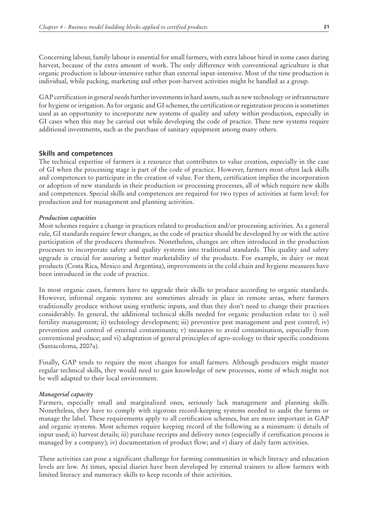Concerning labour, family labour is essential for small farmers, with extra labour hired in some cases during harvest, because of the extra amount of work. The only difference with conventional agriculture is that organic production is labour-intensive rather than external input-intensive. Most of the time production is individual, while packing, marketing and other post-harvest activities might be handled as a group.

GAP certification in general needs further investments in hard assets, such as new technology or infrastructure for hygiene or irrigation. As for organic and GI schemes, the certification or registration process is sometimes used as an opportunity to incorporate new systems of quality and safety within production, especially in GI cases when this may be carried out while developing the code of practice. These new systems require additional investments, such as the purchase of sanitary equipment among many others.

#### **Skills and competences**

The technical expertise of farmers is a resource that contributes to value creation, especially in the case of GI when the processing stage is part of the code of practice. However, farmers most often lack skills and competences to participate in the creation of value. For them, certification implies the incorporation or adoption of new standards in their production or processing processes, all of which require new skills and competences. Special skills and competences are required for two types of activities at farm level: for production and for management and planning activities.

#### *Production capacities*

Most schemes require a change in practices related to production and/or processing activities. As a general rule, GI standards require fewer changes, as the code of practice should be developed by or with the active participation of the producers themselves. Nonetheless, changes are often introduced in the production processes to incorporate safety and quality systems into traditional standards. This quality and safety upgrade is crucial for assuring a better marketability of the products. For example, in dairy or meat products (Costa Rica, Mexico and Argentina), improvements in the cold chain and hygiene measures have been introduced in the code of practice.

In most organic cases, farmers have to upgrade their skills to produce according to organic standards. However, informal organic systems are sometimes already in place in remote areas, where farmers traditionally produce without using synthetic inputs, and thus they don't need to change their practices considerably. In general, the additional technical skills needed for organic production relate to: i) soil fertility management; ii) technology development; iii) preventive pest management and pest control; iv) prevention and control of external contaminants; v) measures to avoid contamination, especially from conventional produce; and vi) adaptation of general principles of agro-ecology to their specific conditions (Santacoloma, 2007a).

Finally, GAP tends to require the most changes for small farmers. Although producers might master regular technical skills, they would need to gain knowledge of new processes, some of which might not be well adapted to their local environment.

#### *Managerial capacity*

Farmers, especially small and marginalized ones, seriously lack management and planning skills. Nonetheless, they have to comply with rigorous record-keeping systems needed to audit the farms or manage the label. These requirements apply to all certification schemes, but are more important in GAP and organic systems. Most schemes require keeping record of the following as a minimum: i) details of input used; ii) harvest details; iii) purchase receipts and delivery notes (especially if certification process is managed by a company); iv) documentation of product flow; and v) diary of daily farm activities.

These activities can pose a significant challenge for farming communities in which literacy and education levels are low. At times, special diaries have been developed by external trainers to allow farmers with limited literacy and numeracy skills to keep records of their activities.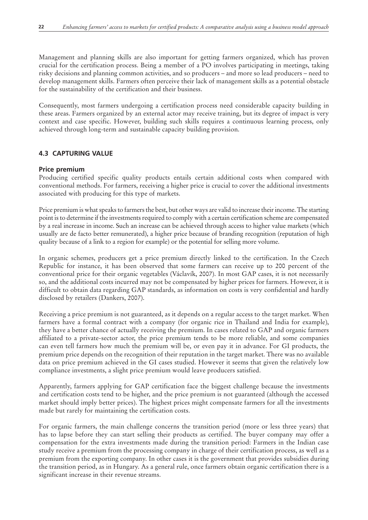Management and planning skills are also important for getting farmers organized, which has proven crucial for the certification process. Being a member of a PO involves participating in meetings, taking risky decisions and planning common activities, and so producers – and more so lead producers – need to develop management skills. Farmers often perceive their lack of management skills as a potential obstacle for the sustainability of the certification and their business.

Consequently, most farmers undergoing a certification process need considerable capacity building in these areas. Farmers organized by an external actor may receive training, but its degree of impact is very context and case specific. However, building such skills requires a continuous learning process, only achieved through long-term and sustainable capacity building provision.

# **4.3 Capturing value**

# **Price premium**

Producing certified specific quality products entails certain additional costs when compared with conventional methods. For farmers, receiving a higher price is crucial to cover the additional investments associated with producing for this type of markets.

Price premium is what speaks to farmers the best, but other ways are valid to increase their income. The starting point is to determine if the investments required to comply with a certain certification scheme are compensated by a real increase in income. Such an increase can be achieved through access to higher value markets (which usually are de facto better remunerated), a higher price because of branding recognition (reputation of high quality because of a link to a region for example) or the potential for selling more volume.

In organic schemes, producers get a price premium directly linked to the certification. In the Czech Republic for instance, it has been observed that some farmers can receive up to 200 percent of the conventional price for their organic vegetables (Václavík, 2007). In most GAP cases, it is not necessarily so, and the additional costs incurred may not be compensated by higher prices for farmers. However, it is difficult to obtain data regarding GAP standards, as information on costs is very confidential and hardly disclosed by retailers (Dankers, 2007).

Receiving a price premium is not guaranteed, as it depends on a regular access to the target market. When farmers have a formal contract with a company (for organic rice in Thailand and India for example), they have a better chance of actually receiving the premium. In cases related to GAP and organic farmers affiliated to a private-sector actor, the price premium tends to be more reliable, and some companies can even tell farmers how much the premium will be, or even pay it in advance. For GI products, the premium price depends on the recognition of their reputation in the target market. There was no available data on price premium achieved in the GI cases studied. However it seems that given the relatively low compliance investments, a slight price premium would leave producers satisfied.

Apparently, farmers applying for GAP certification face the biggest challenge because the investments and certification costs tend to be higher, and the price premium is not guaranteed (although the accessed market should imply better prices). The highest prices might compensate farmers for all the investments made but rarely for maintaining the certification costs.

For organic farmers, the main challenge concerns the transition period (more or less three years) that has to lapse before they can start selling their products as certified. The buyer company may offer a compensation for the extra investments made during the transition period: Farmers in the Indian case study receive a premium from the processing company in charge of their certification process, as well as a premium from the exporting company. In other cases it is the government that provides subsidies during the transition period, as in Hungary. As a general rule, once farmers obtain organic certification there is a significant increase in their revenue streams.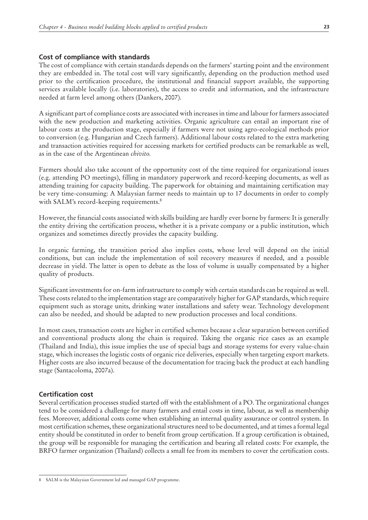#### **Cost of compliance with standards**

The cost of compliance with certain standards depends on the farmers' starting point and the environment they are embedded in. The total cost will vary significantly, depending on the production method used prior to the certification procedure, the institutional and financial support available, the supporting services available locally (i.e. laboratories), the access to credit and information, and the infrastructure needed at farm level among others (Dankers, 2007).

A significant part of compliance costs are associated with increases in time and labour for farmers associated with the new production and marketing activities. Organic agriculture can entail an important rise of labour costs at the production stage, especially if farmers were not using agro-ecological methods prior to conversion (e.g. Hungarian and Czech farmers). Additional labour costs related to the extra marketing and transaction activities required for accessing markets for certified products can be remarkable as well, as in the case of the Argentinean *chivito.*

Farmers should also take account of the opportunity cost of the time required for organizational issues (e.g. attending PO meetings), filling in mandatory paperwork and record-keeping documents, as well as attending training for capacity building. The paperwork for obtaining and maintaining certification may be very time-consuming: A Malaysian farmer needs to maintain up to 17 documents in order to comply with SALM's record-keeping requirements.<sup>8</sup>

However, the financial costs associated with skills building are hardly ever borne by farmers: It is generally the entity driving the certification process, whether it is a private company or a public institution, which organizes and sometimes directly provides the capacity building.

In organic farming, the transition period also implies costs, whose level will depend on the initial conditions, but can include the implementation of soil recovery measures if needed, and a possible decrease in yield. The latter is open to debate as the loss of volume is usually compensated by a higher quality of products.

Significant investments for on-farm infrastructure to comply with certain standards can be required as well. These costs related to the implementation stage are comparatively higher for GAP standards, which require equipment such as storage units, drinking water installations and safety wear. Technology development can also be needed, and should be adapted to new production processes and local conditions.

In most cases, transaction costs are higher in certified schemes because a clear separation between certified and conventional products along the chain is required. Taking the organic rice cases as an example (Thailand and India), this issue implies the use of special bags and storage systems for every value-chain stage, which increases the logistic costs of organic rice deliveries, especially when targeting export markets. Higher costs are also incurred because of the documentation for tracing back the product at each handling stage (Santacoloma, 2007a).

### **Certification cost**

Several certification processes studied started off with the establishment of a PO. The organizational changes tend to be considered a challenge for many farmers and entail costs in time, labour, as well as membership fees. Moreover, additional costs come when establishing an internal quality assurance or control system. In most certification schemes, these organizational structures need to be documented, and at times a formal legal entity should be constituted in order to benefit from group certification. If a group certification is obtained, the group will be responsible for managing the certification and bearing all related costs: For example, the BRFO farmer organization (Thailand) collects a small fee from its members to cover the certification costs.

<sup>8</sup> SALM is the Malaysian Government led and managed GAP programme.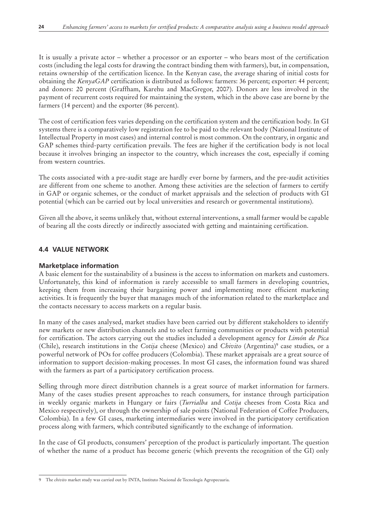It is usually a private actor – whether a processor or an exporter – who bears most of the certification costs (including the legal costs for drawing the contract binding them with farmers), but, in compensation, retains ownership of the certification licence. In the Kenyan case, the average sharing of initial costs for obtaining the *KenyaGAP* certification is distributed as follows: farmers: 36 percent; exporter: 44 percent; and donors: 20 percent (Graffham, Karehu and MacGregor, 2007). Donors are less involved in the payment of recurrent costs required for maintaining the system, which in the above case are borne by the farmers (14 percent) and the exporter (86 percent).

The cost of certification fees varies depending on the certification system and the certification body. In GI systems there is a comparatively low registration fee to be paid to the relevant body (National Institute of Intellectual Property in most cases) and internal control is most common. On the contrary, in organic and GAP schemes third-party certification prevails. The fees are higher if the certification body is not local because it involves bringing an inspector to the country, which increases the cost, especially if coming from western countries.

The costs associated with a pre-audit stage are hardly ever borne by farmers, and the pre-audit activities are different from one scheme to another. Among these activities are the selection of farmers to certify in GAP or organic schemes, or the conduct of market appraisals and the selection of products with GI potential (which can be carried out by local universities and research or governmental institutions).

Given all the above, it seems unlikely that, without external interventions, a small farmer would be capable of bearing all the costs directly or indirectly associated with getting and maintaining certification.

# **4.4 Value network**

# **Marketplace information**

A basic element for the sustainability of a business is the access to information on markets and customers. Unfortunately, this kind of information is rarely accessible to small farmers in developing countries, keeping them from increasing their bargaining power and implementing more efficient marketing activities. It is frequently the buyer that manages much of the information related to the marketplace and the contacts necessary to access markets on a regular basis.

In many of the cases analysed, market studies have been carried out by different stakeholders to identify new markets or new distribution channels and to select farming communities or products with potential for certification. The actors carrying out the studies included a development agency for *Limón de Pica* (Chile), research institutions in the *Cotija* cheese (Mexico) and *Chivito* (Argentina)<sup>9</sup> case studies, or a powerful network of POs for coffee producers (Colombia). These market appraisals are a great source of information to support decision-making processes. In most GI cases, the information found was shared with the farmers as part of a participatory certification process.

Selling through more direct distribution channels is a great source of market information for farmers. Many of the cases studies present approaches to reach consumers, for instance through participation in weekly organic markets in Hungary or fairs (*Turrialba* and *Cotija* cheeses from Costa Rica and Mexico respectively), or through the ownership of sale points (National Federation of Coffee Producers, Colombia). In a few GI cases, marketing intermediaries were involved in the participatory certification process along with farmers, which contributed significantly to the exchange of information.

In the case of GI products, consumers' perception of the product is particularly important. The question of whether the name of a product has become generic (which prevents the recognition of the GI) only

<sup>9</sup> The *chivito* market study was carried out by INTA, Instituto Nacional de Tecnología Agropecuaria.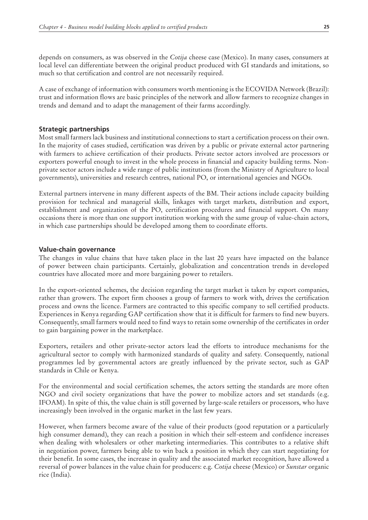depends on consumers, as was observed in the *Cotija* cheese case (Mexico). In many cases, consumers at local level can differentiate between the original product produced with GI standards and imitations, so much so that certification and control are not necessarily required.

A case of exchange of information with consumers worth mentioning is the ECOVIDA Network (Brazil): trust and information flows are basic principles of the network and allow farmers to recognize changes in trends and demand and to adapt the management of their farms accordingly.

### **Strategic partnerships**

Most small farmers lack business and institutional connections to start a certification process on their own. In the majority of cases studied, certification was driven by a public or private external actor partnering with farmers to achieve certification of their products. Private sector actors involved are processors or exporters powerful enough to invest in the whole process in financial and capacity building terms. Nonprivate sector actors include a wide range of public institutions (from the Ministry of Agriculture to local governments), universities and research centres, national PO, or international agencies and NGOs.

External partners intervene in many different aspects of the BM. Their actions include capacity building provision for technical and managerial skills, linkages with target markets, distribution and export, establishment and organization of the PO, certification procedures and financial support. On many occasions there is more than one support institution working with the same group of value-chain actors, in which case partnerships should be developed among them to coordinate efforts.

#### **Value-chain governance**

The changes in value chains that have taken place in the last 20 years have impacted on the balance of power between chain participants. Certainly, globalization and concentration trends in developed countries have allocated more and more bargaining power to retailers.

In the export-oriented schemes, the decision regarding the target market is taken by export companies, rather than growers. The export firm chooses a group of farmers to work with, drives the certification process and owns the licence. Farmers are contracted to this specific company to sell certified products. Experiences in Kenya regarding GAP certification show that it is difficult for farmers to find new buyers. Consequently, small farmers would need to find ways to retain some ownership of the certificates in order to gain bargaining power in the marketplace.

Exporters, retailers and other private-sector actors lead the efforts to introduce mechanisms for the agricultural sector to comply with harmonized standards of quality and safety. Consequently, national programmes led by governmental actors are greatly influenced by the private sector, such as GAP standards in Chile or Kenya.

For the environmental and social certification schemes, the actors setting the standards are more often NGO and civil society organizations that have the power to mobilize actors and set standards (e.g. IFOAM). In spite of this, the value chain is still governed by large-scale retailers or processors, who have increasingly been involved in the organic market in the last few years.

However, when farmers become aware of the value of their products (good reputation or a particularly high consumer demand), they can reach a position in which their self-esteem and confidence increases when dealing with wholesalers or other marketing intermediaries. This contributes to a relative shift in negotiation power, farmers being able to win back a position in which they can start negotiating for their benefit. In some cases, the increase in quality and the associated market recognition, have allowed a reversal of power balances in the value chain for producers: e.g. *Cotija* cheese (Mexico) or *Sunstar* organic rice (India).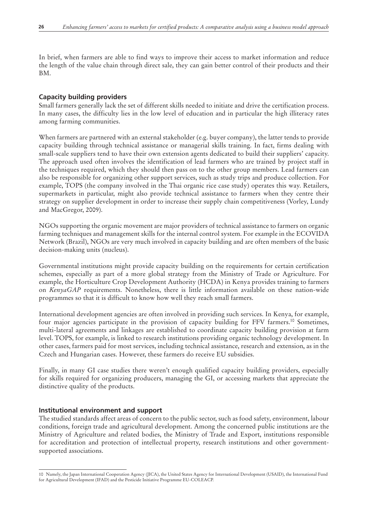In brief, when farmers are able to find ways to improve their access to market information and reduce the length of the value chain through direct sale, they can gain better control of their products and their BM.

## **Capacity building providers**

Small farmers generally lack the set of different skills needed to initiate and drive the certification process. In many cases, the difficulty lies in the low level of education and in particular the high illiteracy rates among farming communities.

When farmers are partnered with an external stakeholder (e.g. buyer company), the latter tends to provide capacity building through technical assistance or managerial skills training. In fact, firms dealing with small-scale suppliers tend to have their own extension agents dedicated to build their suppliers' capacity. The approach used often involves the identification of lead farmers who are trained by project staff in the techniques required, which they should then pass on to the other group members. Lead farmers can also be responsible for organizing other support services, such as study trips and produce collection. For example, TOPS (the company involved in the Thai organic rice case study) operates this way. Retailers, supermarkets in particular, might also provide technical assistance to farmers when they centre their strategy on supplier development in order to increase their supply chain competitiveness (Vorley, Lundy and MacGregor, 2009).

NGOs supporting the organic movement are major providers of technical assistance to farmers on organic farming techniques and management skills for the internal control system. For example in the ECOVIDA Network (Brazil), NGOs are very much involved in capacity building and are often members of the basic decision-making units (nucleus).

Governmental institutions might provide capacity building on the requirements for certain certification schemes, especially as part of a more global strategy from the Ministry of Trade or Agriculture. For example, the Horticulture Crop Development Authority (HCDA) in Kenya provides training to farmers on *KenyaGAP* requirements. Nonetheless, there is little information available on these nation-wide programmes so that it is difficult to know how well they reach small farmers.

International development agencies are often involved in providing such services. In Kenya, for example, four major agencies participate in the provision of capacity building for FFV farmers.<sup>10</sup> Sometimes, multi-lateral agreements and linkages are established to coordinate capacity building provision at farm level. TOPS, for example, is linked to research institutions providing organic technology development. In other cases, farmers paid for most services, including technical assistance, research and extension, as in the Czech and Hungarian cases. However, these farmers do receive EU subsidies.

Finally, in many GI case studies there weren't enough qualified capacity building providers, especially for skills required for organizing producers, managing the GI, or accessing markets that appreciate the distinctive quality of the products.

### **Institutional environment and support**

The studied standards affect areas of concern to the public sector, such as food safety, environment, labour conditions, foreign trade and agricultural development. Among the concerned public institutions are the Ministry of Agriculture and related bodies, the Ministry of Trade and Export, institutions responsible for accreditation and protection of intellectual property, research institutions and other governmentsupported associations.

<sup>10</sup> Namely, the Japan International Cooperation Agency (JICA), the United States Agency for International Development (USAID), the International Fund for Agricultural Development (IFAD) and the Pesticide Initiative Programme EU-COLEACP.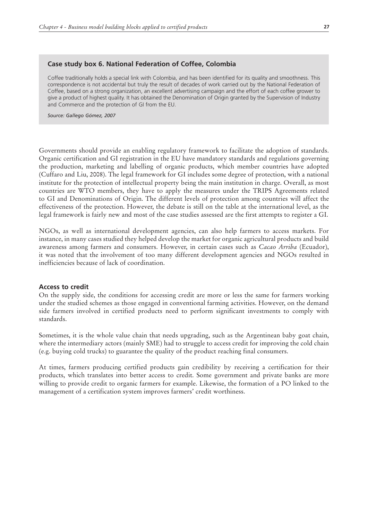#### **Case study box 6. National Federation of Coffee, Colombia**

Coffee traditionally holds a special link with Colombia, and has been identified for its quality and smoothness. This correspondence is not accidental but truly the result of decades of work carried out by the National Federation of Coffee, based on a strong organization, an excellent advertising campaign and the effort of each coffee grower to give a product of highest quality. It has obtained the Denomination of Origin granted by the Supervision of Industry and Commerce and the protection of GI from the EU.

*Source: Gallego Gómez, 2007*

Governments should provide an enabling regulatory framework to facilitate the adoption of standards. Organic certification and GI registration in the EU have mandatory standards and regulations governing the production, marketing and labelling of organic products, which member countries have adopted (Cuffaro and Liu, 2008). The legal framework for GI includes some degree of protection, with a national institute for the protection of intellectual property being the main institution in charge. Overall, as most countries are WTO members, they have to apply the measures under the TRIPS Agreements related to GI and Denominations of Origin. The different levels of protection among countries will affect the effectiveness of the protection. However, the debate is still on the table at the international level, as the legal framework is fairly new and most of the case studies assessed are the first attempts to register a GI.

NGOs, as well as international development agencies, can also help farmers to access markets. For instance, in many cases studied they helped develop the market for organic agricultural products and build awareness among farmers and consumers. However, in certain cases such as *Cacao Arriba* (Ecuador), it was noted that the involvement of too many different development agencies and NGOs resulted in inefficiencies because of lack of coordination.

#### **Access to credit**

On the supply side, the conditions for accessing credit are more or less the same for farmers working under the studied schemes as those engaged in conventional farming activities. However, on the demand side farmers involved in certified products need to perform significant investments to comply with standards.

Sometimes, it is the whole value chain that needs upgrading, such as the Argentinean baby goat chain, where the intermediary actors (mainly SME) had to struggle to access credit for improving the cold chain (e.g. buying cold trucks) to guarantee the quality of the product reaching final consumers.

At times, farmers producing certified products gain credibility by receiving a certification for their products, which translates into better access to credit. Some government and private banks are more willing to provide credit to organic farmers for example. Likewise, the formation of a PO linked to the management of a certification system improves farmers' credit worthiness.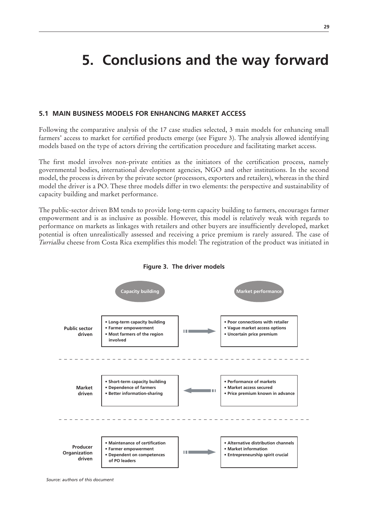# **5. Conclusions and the way forward**

### **5.1 Main business models for enhancing market access**

Following the comparative analysis of the 17 case studies selected, 3 main models for enhancing small farmers' access to market for certified products emerge (see Figure 3). The analysis allowed identifying models based on the type of actors driving the certification procedure and facilitating market access.

The first model involves non-private entities as the initiators of the certification process, namely governmental bodies, international development agencies, NGO and other institutions. In the second model, the process is driven by the private sector (processors, exporters and retailers), whereas in the third model the driver is a PO. These three models differ in two elements: the perspective and sustainability of capacity building and market performance.

The public-sector driven BM tends to provide long-term capacity building to farmers, encourages farmer empowerment and is as inclusive as possible. However, this model is relatively weak with regards to performance on markets as linkages with retailers and other buyers are insufficiently developed, market potential is often unrealistically assessed and receiving a price premium is rarely assured. The case of *Turrialba* cheese from Costa Rica exemplifies this model: The registration of the product was initiated in





*Source: authors of this document*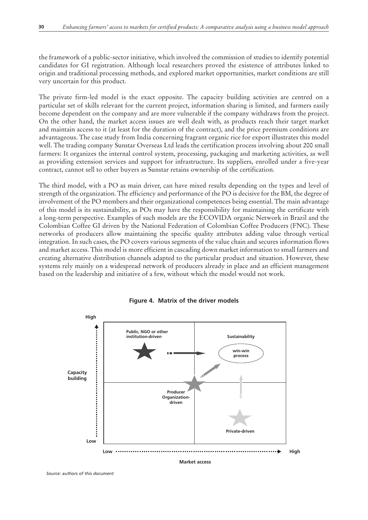the framework of a public-sector initiative, which involved the commission of studies to identify potential candidates for GI registration. Although local researchers proved the existence of attributes linked to origin and traditional processing methods, and explored market opportunities, market conditions are still very uncertain for this product.

The private firm-led model is the exact opposite. The capacity building activities are centred on a particular set of skills relevant for the current project, information sharing is limited, and farmers easily become dependent on the company and are more vulnerable if the company withdraws from the project. On the other hand, the market access issues are well dealt with, as products reach their target market and maintain access to it (at least for the duration of the contract), and the price premium conditions are advantageous. The case study from India concerning fragrant organic rice for export illustrates this model well. The trading company Sunstar Overseas Ltd leads the certification process involving about 200 small farmers: It organizes the internal control system, processing, packaging and marketing activities, as well as providing extension services and support for infrastructure. Its suppliers, enrolled under a five-year contract, cannot sell to other buyers as Sunstar retains ownership of the certification.

The third model, with a PO as main driver, can have mixed results depending on the types and level of strength of the organization. The efficiency and performance of the PO is decisive for the BM, the degree of involvement of the PO members and their organizational competences being essential. The main advantage of this model is its sustainability, as POs may have the responsibility for maintaining the certificate with a long-term perspective. Examples of such models are the ECOVIDA organic Network in Brazil and the Colombian Coffee GI driven by the National Federation of Colombian Coffee Producers (FNC). These networks of producers allow maintaining the specific quality attributes adding value through vertical integration. In such cases, the PO covers various segments of the value chain and secures information flows and market access. This model is more efficient in cascading down market information to small farmers and creating alternative distribution channels adapted to the particular product and situation. However, these systems rely mainly on a widespread network of producers already in place and an efficient management based on the leadership and initiative of a few, without which the model would not work.





*Source: authors of this document*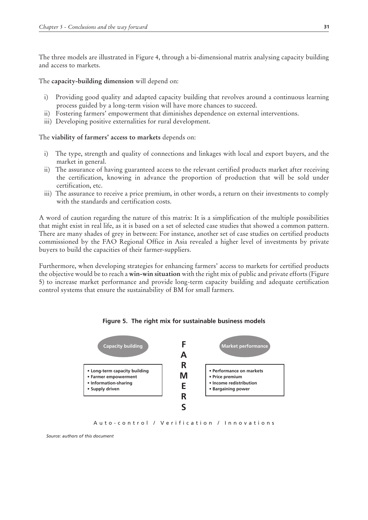The three models are illustrated in Figure 4, through a bi-dimensional matrix analysing capacity building and access to markets.

The **capacity-building dimension** will depend on:

- i) Providing good quality and adapted capacity building that revolves around a continuous learning process guided by a long-term vision will have more chances to succeed.
- ii) Fostering farmers' empowerment that diminishes dependence on external interventions.
- iii) Developing positive externalities for rural development.

The **viability of farmers' access to markets** depends on:

- i) The type, strength and quality of connections and linkages with local and export buyers, and the market in general.
- ii) The assurance of having guaranteed access to the relevant certified products market after receiving the certification, knowing in advance the proportion of production that will be sold under certification, etc.
- iii) The assurance to receive a price premium, in other words, a return on their investments to comply with the standards and certification costs.

A word of caution regarding the nature of this matrix: It is a simplification of the multiple possibilities that might exist in real life, as it is based on a set of selected case studies that showed a common pattern. There are many shades of grey in between: For instance, another set of case studies on certified products commissioned by the FAO Regional Office in Asia revealed a higher level of investments by private buyers to build the capacities of their farmer-suppliers.

Furthermore, when developing strategies for enhancing farmers' access to markets for certified products the objective would be to reach a **win-win situation** with the right mix of public and private efforts (Figure 5) to increase market performance and provide long-term capacity building and adequate certification control systems that ensure the sustainability of BM for small farmers.





Auto-control / Verification / Innovations

*Source: authors of this document*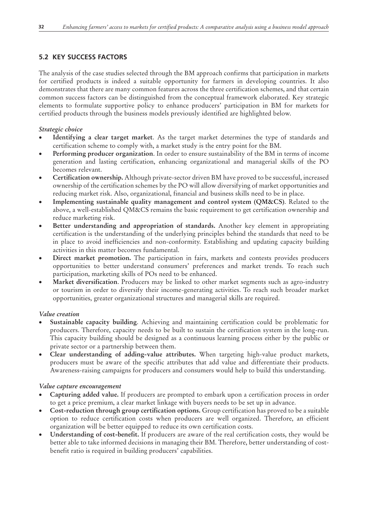# **5.2 Key success factors**

The analysis of the case studies selected through the BM approach confirms that participation in markets for certified products is indeed a suitable opportunity for farmers in developing countries. It also demonstrates that there are many common features across the three certification schemes, and that certain common success factors can be distinguished from the conceptual framework elaborated. Key strategic elements to formulate supportive policy to enhance producers' participation in BM for markets for certified products through the business models previously identified are highlighted below.

## *Strategic choice*

- **Identifying a clear target market**. As the target market determines the type of standards and certification scheme to comply with, a market study is the entry point for the BM.
- **Performing producer organization**. In order to ensure sustainability of the BM in terms of income generation and lasting certification, enhancing organizational and managerial skills of the PO becomes relevant.
- Certification ownership. Although private-sector driven BM have proved to be successful, increased ownership of the certification schemes by the PO will allow diversifying of market opportunities and reducing market risk. Also, organizational, financial and business skills need to be in place.
- Implementing sustainable quality management and control system (QM&CS). Related to the above, a well-established QM&CS remains the basic requirement to get certification ownership and reduce marketing risk.
- Better understanding and appropriation of standards. Another key element in appropriating certification is the understanding of the underlying principles behind the standards that need to be in place to avoid inefficiencies and non-conformity. Establishing and updating capacity building activities in this matter becomes fundamental.
- Direct market promotion. The participation in fairs, markets and contests provides producers opportunities to better understand consumers' preferences and market trends. To reach such participation, marketing skills of POs need to be enhanced.
- Market diversification. Producers may be linked to other market segments such as agro-industry or tourism in order to diversify their income-generating activities. To reach such broader market opportunities, greater organizational structures and managerial skills are required.

# *Value creation*

- **Sustainable capacity building.** Achieving and maintaining certification could be problematic for producers. Therefore, capacity needs to be built to sustain the certification system in the long-run. This capacity building should be designed as a continuous learning process either by the public or private sector or a partnership between them.
- Clear understanding of adding-value attributes. When targeting high-value product markets, producers must be aware of the specific attributes that add value and differentiate their products. Awareness-raising campaigns for producers and consumers would help to build this understanding.

### *Value capture encouragement*

- Capturing added value. If producers are prompted to embark upon a certification process in order to get a price premium, a clear market linkage with buyers needs to be set up in advance.
- **Cost-reduction through group certification options.** Group certification has proved to be a suitable option to reduce certification costs when producers are well organized. Therefore, an efficient organization will be better equipped to reduce its own certification costs.
- Understanding of cost-benefit. If producers are aware of the real certification costs, they would be better able to take informed decisions in managing their BM. Therefore, better understanding of costbenefit ratio is required in building producers' capabilities.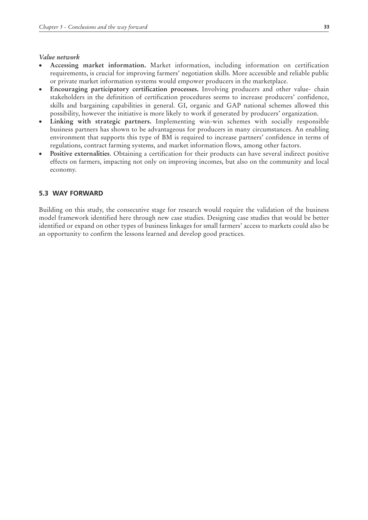#### *Value network*

- Accessing market information. Market information, including information on certification requirements, is crucial for improving farmers' negotiation skills. More accessible and reliable public or private market information systems would empower producers in the marketplace.
- **Encouraging participatory certification processes.** Involving producers and other value- chain stakeholders in the definition of certification procedures seems to increase producers' confidence, skills and bargaining capabilities in general. GI, organic and GAP national schemes allowed this possibility, however the initiative is more likely to work if generated by producers' organization.
- Linking with strategic partners. Implementing win-win schemes with socially responsible business partners has shown to be advantageous for producers in many circumstances. An enabling environment that supports this type of BM is required to increase partners' confidence in terms of regulations, contract farming systems, and market information flows, among other factors.
- **Positive externalities.** Obtaining a certification for their products can have several indirect positive effects on farmers, impacting not only on improving incomes, but also on the community and local economy.

## **5.3 way forward**

Building on this study, the consecutive stage for research would require the validation of the business model framework identified here through new case studies. Designing case studies that would be better identified or expand on other types of business linkages for small farmers' access to markets could also be an opportunity to confirm the lessons learned and develop good practices.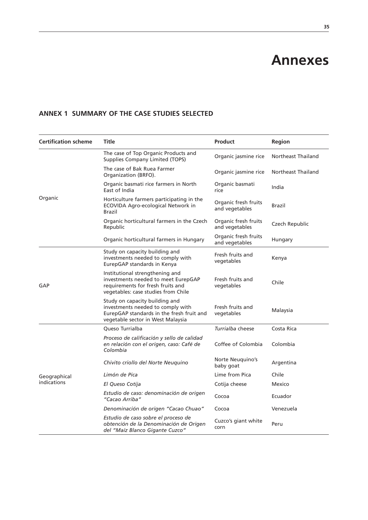# **Annexes**

# **Annex 1 Summary of the case studies selected**

| <b>Certification scheme</b> | Title                                                                                                                                                 | Product                                | Region             |
|-----------------------------|-------------------------------------------------------------------------------------------------------------------------------------------------------|----------------------------------------|--------------------|
|                             | The case of Top Organic Products and<br>Supplies Company Limited (TOPS)                                                                               | Organic jasmine rice                   | Northeast Thailand |
|                             | The case of Bak Ruea Farmer<br>Organization (BRFO).                                                                                                   | Organic jasmine rice                   | Northeast Thailand |
|                             | Organic basmati rice farmers in North<br>East of India                                                                                                | Organic basmati<br>rice                | India              |
| Organic                     | Horticulture farmers participating in the<br>ECOVIDA Agro-ecological Network in<br><b>Brazil</b>                                                      | Organic fresh fruits<br>and vegetables | Brazil             |
|                             | Organic horticultural farmers in the Czech<br>Republic                                                                                                | Organic fresh fruits<br>and vegetables | Czech Republic     |
|                             | Organic horticultural farmers in Hungary                                                                                                              | Organic fresh fruits<br>and vegetables | Hungary            |
|                             | Study on capacity building and<br>investments needed to comply with<br>EurepGAP standards in Kenya                                                    | Fresh fruits and<br>vegetables         | Kenya              |
| GAP                         | Institutional strengthening and<br>investments needed to meet EurepGAP<br>requirements for fresh fruits and<br>vegetables: case studies from Chile    | Fresh fruits and<br>vegetables         | Chile              |
|                             | Study on capacity building and<br>investments needed to comply with<br>EurepGAP standards in the fresh fruit and<br>vegetable sector in West Malaysia | Fresh fruits and<br>vegetables         | Malaysia           |
|                             | Queso Turrialba                                                                                                                                       | Turrialba cheese                       | Costa Rica         |
|                             | Proceso de calificación y sello de calidad<br>en relación con el origen, caso: Café de<br>Colombia                                                    | Coffee of Colombia                     | Colombia           |
|                             | Chivito criollo del Norte Neuguino                                                                                                                    | Norte Neuquino's<br>baby goat          | Argentina          |
| Geographical                | Limón de Pica                                                                                                                                         | Lime from Pica                         | Chile              |
| indications                 | El Queso Cotija                                                                                                                                       | Cotija cheese                          | Mexico             |
|                             | Estudio de caso: denominación de origen<br>"Cacao Arriba"                                                                                             | Cocoa                                  | Ecuador            |
|                             | Denominación de origen "Cacao Chuao"                                                                                                                  | Cocoa                                  | Venezuela          |
|                             | Estudio de caso sobre el proceso de<br>obtención de la Denominación de Origen<br>del "Maíz Blanco Gigante Cuzco"                                      | Cuzco's giant white<br>corn            | Peru               |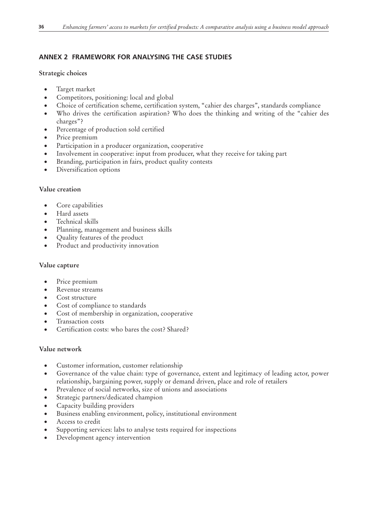# **Annex 2 Framework for analysing the case studies**

### **Strategic choices**

- • Target market
- Competitors, positioning: local and global
- Choice of certification scheme, certification system, "cahier des charges", standards compliance
- • Who drives the certification aspiration? Who does the thinking and writing of the "cahier des charges"?
- • Percentage of production sold certified
- Price premium
- Participation in a producer organization, cooperative
- Involvement in cooperative: input from producer, what they receive for taking part
- Branding, participation in fairs, product quality contests
- Diversification options

## **Value creation**

- Core capabilities
- • Hard assets
- • Technical skills
- Planning, management and business skills
- • Quality features of the product
- Product and productivity innovation

### **Value capture**

- Price premium
- Revenue streams
- Cost structure
- • Cost of compliance to standards
- Cost of membership in organization, cooperative
- • Transaction costs
- Certification costs: who bares the cost? Shared?

### **Value network**

- Customer information, customer relationship
- • Governance of the value chain: type of governance, extent and legitimacy of leading actor, power relationship, bargaining power, supply or demand driven, place and role of retailers
- Prevalence of social networks, size of unions and associations
- Strategic partners/dedicated champion
- • Capacity building providers
- • Business enabling environment, policy, institutional environment
- • Access to credit
- Supporting services: labs to analyse tests required for inspections
- Development agency intervention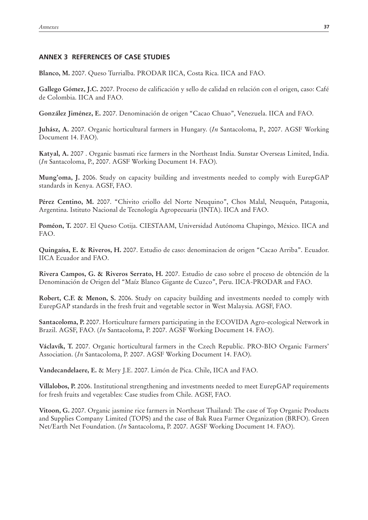## **Annex 3 References of case studies**

**Blanco, M.** 2007. Queso Turrialba. PRODAR IICA, Costa Rica. IICA and FAO.

**Gallego Gómez, J.C.** 2007. Proceso de calificación y sello de calidad en relación con el origen, caso: Café de Colombia. IICA and FAO.

**González Jiménez, E.** 2007. Denominación de origen "Cacao Chuao", Venezuela. IICA and FAO.

**Juhász, A.** 2007. Organic horticultural farmers in Hungary. (*In* Santacoloma, P., 2007. AGSF Working Document 14. FAO).

**Katyal, A.** 2007 . Organic basmati rice farmers in the Northeast India. Sunstar Overseas Limited, India. (*In* Santacoloma, P., 2007. AGSF Working Document 14. FAO).

**Mung'oma, J.** 2006. Study on capacity building and investments needed to comply with EurepGAP standards in Kenya. AGSF, FAO.

**Pérez Centino, M.** 2007. "Chivito criollo del Norte Neuquino", Chos Malal, Neuquén, Patagonia, Argentina. Istituto Nacional de Tecnología Agropecuaria (INTA). IICA and FAO.

**Poméon, T.** 2007. El Queso Cotija. CIESTAAM, Universidad Autónoma Chapingo, México. IICA and FAO.

**Quingaísa, E. & Riveros, H.** 2007. Estudio de caso: denominacion de origen "Cacao Arriba". Ecuador. IICA Ecuador and FAO.

**Rivera Campos, G. & Riveros Serrato, H.** 2007. Estudio de caso sobre el proceso de obtención de la Denominación de Origen del "Maíz Blanco Gigante de Cuzco", Peru. IICA-PRODAR and FAO.

**Robert, C.F. & Menon, S.** 2006. Study on capacity building and investments needed to comply with EurepGAP standards in the fresh fruit and vegetable sector in West Malaysia. AGSF, FAO.

**Santacoloma, P.** 2007. Horticulture farmers participating in the ECOVIDA Agro-ecological Network in Brazil. AGSF, FAO. (*In* Santacoloma, P. 2007. AGSF Working Document 14. FAO).

**Václavík, T.** 2007. Organic horticultural farmers in the Czech Republic. PRO-BIO Organic Farmers' Association. (*In* Santacoloma, P. 2007. AGSF Working Document 14. FAO).

**Vandecandelaere, E.** & Mery J.E. 2007. Limón de Pica. Chile, IICA and FAO.

**Villalobos, P.** 2006. Institutional strengthening and investments needed to meet EurepGAP requirements for fresh fruits and vegetables: Case studies from Chile. AGSF, FAO.

**Vitoon, G.** 2007. Organic jasmine rice farmers in Northeast Thailand: The case of Top Organic Products and Supplies Company Limited (TOPS) and the case of Bak Ruea Farmer Organization (BRFO). Green Net/Earth Net Foundation. (*In* Santacoloma, P. 2007. AGSF Working Document 14. FAO).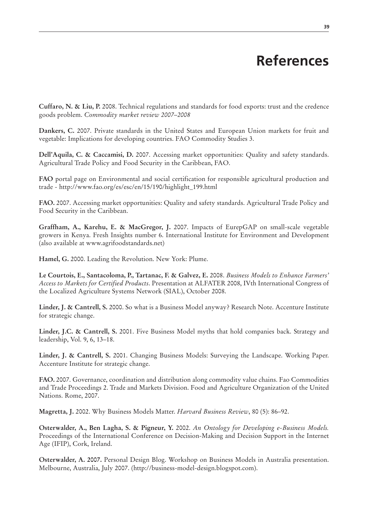# **References**

**Cuffaro, N. & Liu, P.** 2008. Technical regulations and standards for food exports: trust and the credence goods problem. *Commodity market review 2007–2008*

**Dankers, C.** 2007. Private standards in the United States and European Union markets for fruit and vegetable: Implications for developing countries. FAO Commodity Studies 3.

**Dell'Aquila, C. & Caccamisi, D.** 2007. Accessing market opportunities: Quality and safety standards. Agricultural Trade Policy and Food Security in the Caribbean, FAO.

**FAO** portal page on Environmental and social certification for responsible agricultural production and trade - http://www.fao.org/es/esc/en/15/190/highlight\_199.html

**FAO.** 2007. Accessing market opportunities: Quality and safety standards. Agricultural Trade Policy and Food Security in the Caribbean.

**Graffham, A., Karehu, E. & MacGregor, J.** 2007. Impacts of EurepGAP on small-scale vegetable growers in Kenya. Fresh Insights number 6. International Institute for Environment and Development (also available at www.agrifoodstandards.net)

**Hamel, G.** 2000. Leading the Revolution. New York: Plume.

**Le Courtois, E., Santacoloma, P., Tartanac, F. & Galvez, E.** 2008. *Business Models to Enhance Farmers' Access to Markets for Certified Products*. Presentation at ALFATER 2008, IVth International Congress of the Localized Agriculture Systems Network (SIAL), October 2008.

**Linder, J. & Cantrell, S.** 2000. So what is a Business Model anyway? Research Note. Accenture Institute for strategic change.

**Linder, J.C. & Cantrell, S.** 2001. Five Business Model myths that hold companies back. Strategy and leadership, Vol. 9, 6, 13–18.

**Linder, J. & Cantrell, S.** 2001. Changing Business Models: Surveying the Landscape. Working Paper. Accenture Institute for strategic change.

**FAO.** 2007. Governance, coordination and distribution along commodity value chains. Fao Commodities and Trade Proceedings 2. Trade and Markets Division. Food and Agriculture Organization of the United Nations. Rome, 2007.

**Magretta, J.** 2002. Why Business Models Matter. *Harvard Business Review*, 80 (5): 86–92.

**Osterwalder, A., Ben Lagha, S. & Pigneur, Y.** 2002. *An Ontology for Developing e-Business Models.* Proceedings of the International Conference on Decision-Making and Decision Support in the Internet Age (IFIP), Cork, Ireland.

**Osterwalder, A. 2007.** Personal Design Blog. Workshop on Business Models in Australia presentation. Melbourne, Australia, July 2007. (http://business-model-design.blogspot.com).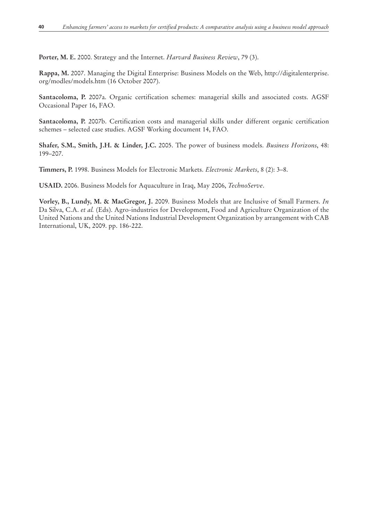**Porter, M. E.** 2000. Strategy and the Internet. *Harvard Business Review*, 79 (3).

**Rappa, M.** 2007. Managing the Digital Enterprise: Business Models on the Web, http://digitalenterprise. org/modles/models.htm (16 October 2007).

**Santacoloma, P.** 2007a. Organic certification schemes: managerial skills and associated costs. AGSF Occasional Paper 16, FAO.

**Santacoloma, P.** 2007b. Certification costs and managerial skills under different organic certification schemes – selected case studies. AGSF Working document 14, FAO.

**Shafer, S.M., Smith, J.H. & Linder, J.C.** 2005. The power of business models. *Business Horizons*, 48: 199–207.

**Timmers, P.** 1998. Business Models for Electronic Markets. *Electronic Markets*, 8 (2): 3–8.

**USAID.** 2006. Business Models for Aquaculture in Iraq, May 2006, *TechnoServe*.

**Vorley, B., Lundy, M. & MacGregor, J.** 2009. Business Models that are Inclusive of Small Farmers. *In* Da Silva, C.A. *et al.* (Eds). Agro-industries for Development, Food and Agriculture Organization of the United Nations and the United Nations Industrial Development Organization by arrangement with CAB International, UK, 2009. pp. 186-222.